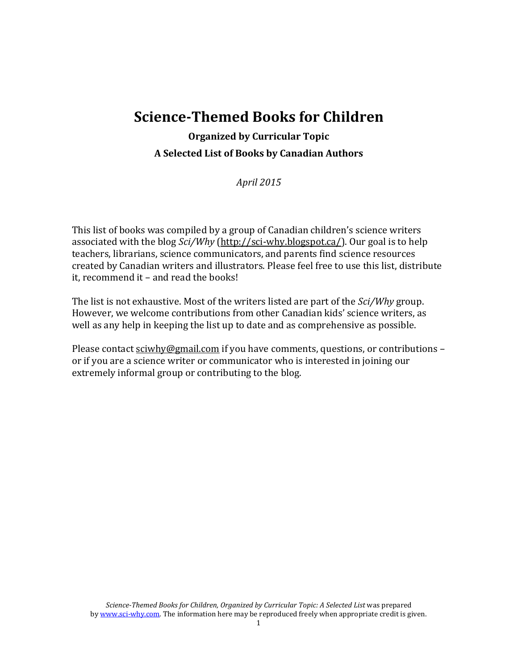# **Science-Themed Books for Children**

# **Organized by Curricular Topic A Selected List of Books by Canadian Authors**

*April 2015*

This list of books was compiled by a group of Canadian children's science writers associated with the blog *Sci/Why* [\(http://sci-why.blogspot.ca/\)](http://sci-why.blogspot.ca/). Our goal is to help teachers, librarians, science communicators, and parents find science resources created by Canadian writers and illustrators. Please feel free to use this list, distribute it, recommend it – and read the books!

The list is not exhaustive. Most of the writers listed are part of the *Sci/Why* group. However, we welcome contributions from other Canadian kids' science writers, as well as any help in keeping the list up to date and as comprehensive as possible.

Please contact [sciwhy@gmail.com](mailto:sciwhy@gmail.com) if you have comments, questions, or contributions – or if you are a science writer or communicator who is interested in joining our extremely informal group or contributing to the blog.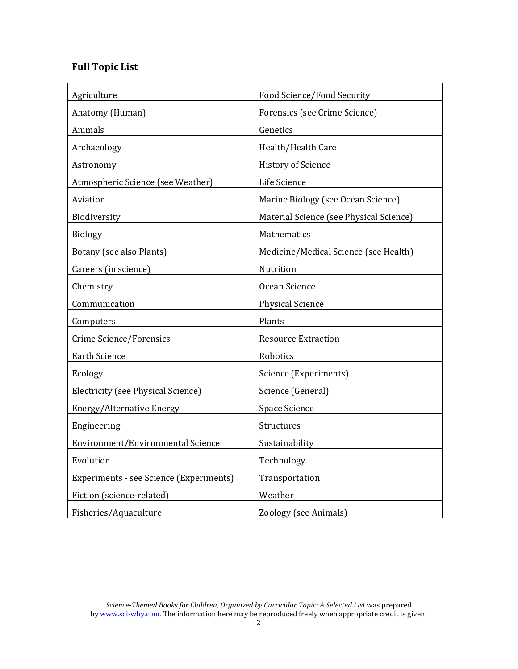# **Full Topic List**

| Agriculture                             | Food Science/Food Security              |
|-----------------------------------------|-----------------------------------------|
| Anatomy (Human)                         | Forensics (see Crime Science)           |
| Animals                                 | Genetics                                |
| Archaeology                             | Health/Health Care                      |
| Astronomy                               | <b>History of Science</b>               |
| Atmospheric Science (see Weather)       | Life Science                            |
| Aviation                                | Marine Biology (see Ocean Science)      |
| Biodiversity                            | Material Science (see Physical Science) |
| <b>Biology</b>                          | Mathematics                             |
| Botany (see also Plants)                | Medicine/Medical Science (see Health)   |
| Careers (in science)                    | Nutrition                               |
| Chemistry                               | Ocean Science                           |
| Communication                           | <b>Physical Science</b>                 |
| Computers                               | Plants                                  |
| Crime Science/Forensics                 | <b>Resource Extraction</b>              |
| <b>Earth Science</b>                    | Robotics                                |
| Ecology                                 | Science (Experiments)                   |
| Electricity (see Physical Science)      | Science (General)                       |
| <b>Energy/Alternative Energy</b>        | Space Science                           |
| Engineering                             | Structures                              |
| Environment/Environmental Science       | Sustainability                          |
| Evolution                               | Technology                              |
| Experiments - see Science (Experiments) | Transportation                          |
| Fiction (science-related)               | Weather                                 |
| Fisheries/Aquaculture                   | Zoology (see Animals)                   |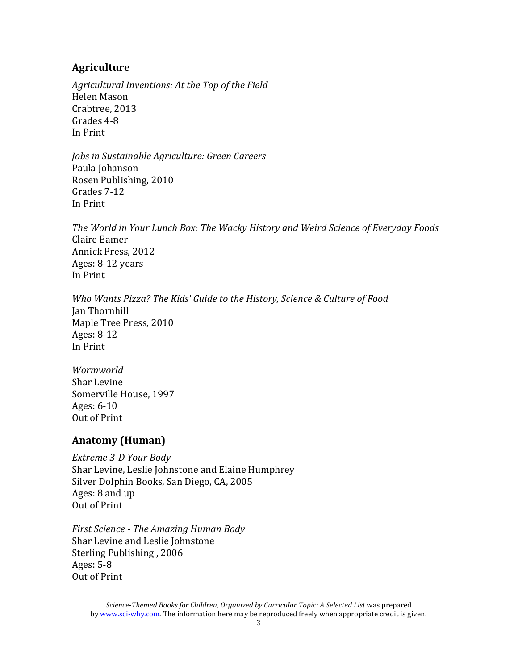#### **Agriculture**

*Agricultural Inventions: At the Top of the Field* Helen Mason Crabtree, 2013 Grades 4-8 In Print

*Jobs in Sustainable Agriculture: Green Careers* Paula Johanson Rosen Publishing, 2010 Grades 7-12 In Print

*The World in Your Lunch Box: The Wacky History and Weird Science of Everyday Foods* Claire Eamer Annick Press, 2012 Ages: 8-12 years In Print

*Who Wants Pizza? The Kids' Guide to the History, Science & Culture of Food* Jan Thornhill Maple Tree Press, 2010 Ages: 8-12 In Print

*Wormworld* Shar Levine Somerville House, 1997 Ages: 6-10 Out of Print

# **Anatomy (Human)**

*Extreme 3-D Your Body* Shar Levine, Leslie Johnstone and Elaine Humphrey Silver Dolphin Books, San Diego, CA, 2005 Ages: 8 and up Out of Print

*First Science - The Amazing Human Body* Shar Levine and Leslie Johnstone Sterling Publishing , 2006 Ages: 5-8 Out of Print

*Science-Themed Books for Children, Organized by Curricular Topic: A Selected List* was prepared b[y www.sci-why.com.](http://www.sci-why.com/) The information here may be reproduced freely when appropriate credit is given.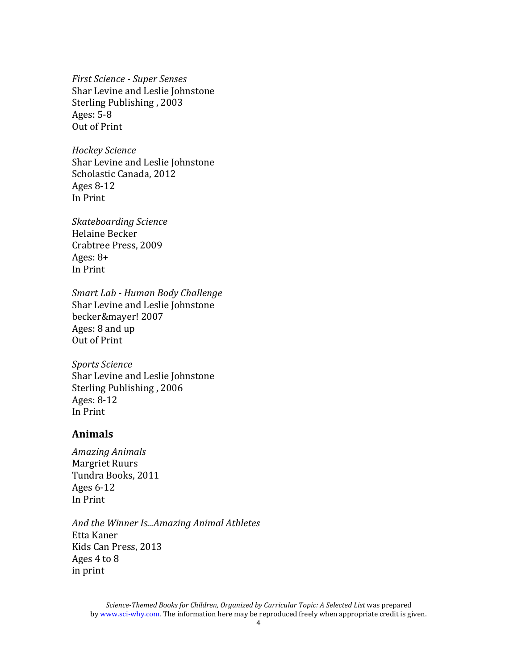*First Science - Super Senses* Shar Levine and Leslie Johnstone Sterling Publishing , 2003 Ages: 5-8 Out of Print

*Hockey Science* Shar Levine and Leslie Johnstone Scholastic Canada, 2012 Ages 8-12 In Print

*Skateboarding Science* Helaine Becker Crabtree Press, 2009 Ages:  $8+$ In Print

*Smart Lab - Human Body Challenge* Shar Levine and Leslie Johnstone becker&mayer! 2007 Ages: 8 and up Out of Print

*Sports Science* Shar Levine and Leslie Johnstone Sterling Publishing , 2006 Ages: 8-12 In Print

#### **Animals**

*Amazing Animals* Margriet Ruurs Tundra Books, 2011 Ages 6-12 In Print

*And the Winner Is...Amazing Animal Athletes* Etta Kaner Kids Can Press, 2013 Ages 4 to 8 in print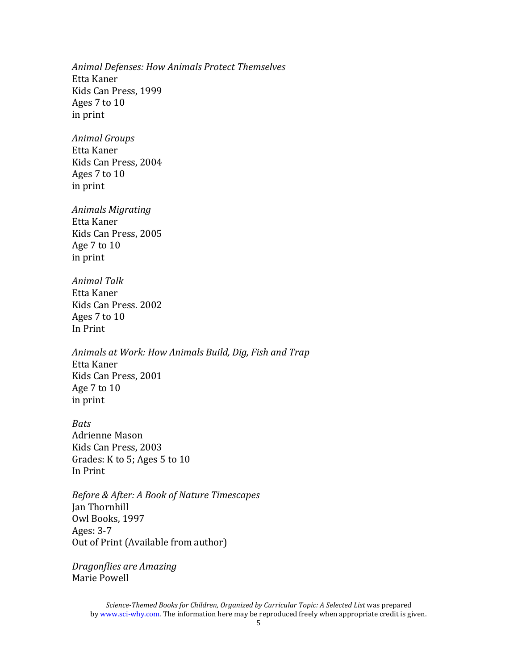*Animal Defenses: How Animals Protect Themselves* Etta Kaner Kids Can Press, 1999 Ages 7 to 10 in print

*Animal Groups* Etta Kaner Kids Can Press, 2004 Ages 7 to 10 in print

*Animals Migrating* Etta Kaner Kids Can Press, 2005 Age 7 to 10 in print

*Animal Talk* Etta Kaner Kids Can Press. 2002 Ages 7 to 10 In Print

*Animals at Work: How Animals Build, Dig, Fish and Trap* Etta Kaner Kids Can Press, 2001 Age 7 to 10 in print

*Bats* Adrienne Mason Kids Can Press, 2003 Grades: K to 5; Ages 5 to 10 In Print

*Before & After: A Book of Nature Timescapes* Jan Thornhill Owl Books, 1997 Ages: 3-7 Out of Print (Available from author)

*Dragonflies are Amazing* Marie Powell

*Science-Themed Books for Children, Organized by Curricular Topic: A Selected List* was prepared b[y www.sci-why.com.](http://www.sci-why.com/) The information here may be reproduced freely when appropriate credit is given.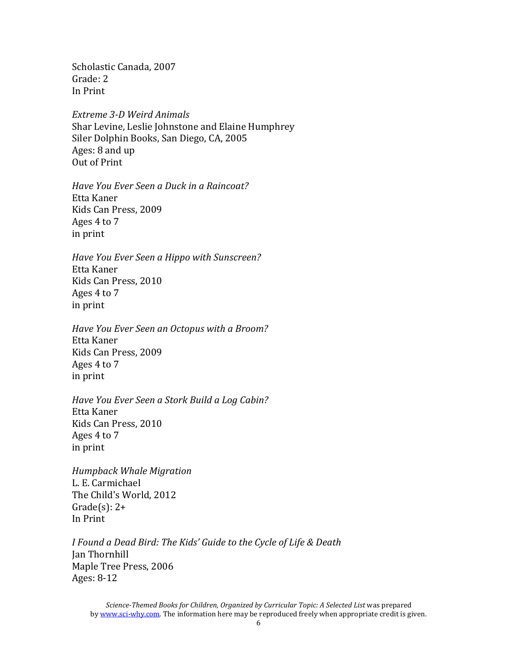Scholastic Canada, 2007 Grade: 2 In Print

*Extreme 3-D Weird Animals* Shar Levine, Leslie Johnstone and Elaine Humphrey Siler Dolphin Books, San Diego, CA, 2005 Ages: 8 and up Out of Print

*Have You Ever Seen a Duck in a Raincoat?* Etta Kaner Kids Can Press, 2009 Ages 4 to 7 in print

*Have You Ever Seen a Hippo with Sunscreen?* Etta Kaner Kids Can Press, 2010 Ages 4 to 7 in print

*Have You Ever Seen an Octopus with a Broom?* Etta Kaner Kids Can Press, 2009 Ages 4 to 7 in print

*Have You Ever Seen a Stork Build a Log Cabin?* Etta Kaner Kids Can Press, 2010 Ages 4 to 7 in print

*Humpback Whale Migration* L. E. Carmichael The Child's World, 2012 Grade $(s)$ : 2+ In Print

*I Found a Dead Bird: The Kids' Guide to the Cycle of Life & Death* Jan Thornhill Maple Tree Press, 2006 Ages: 8-12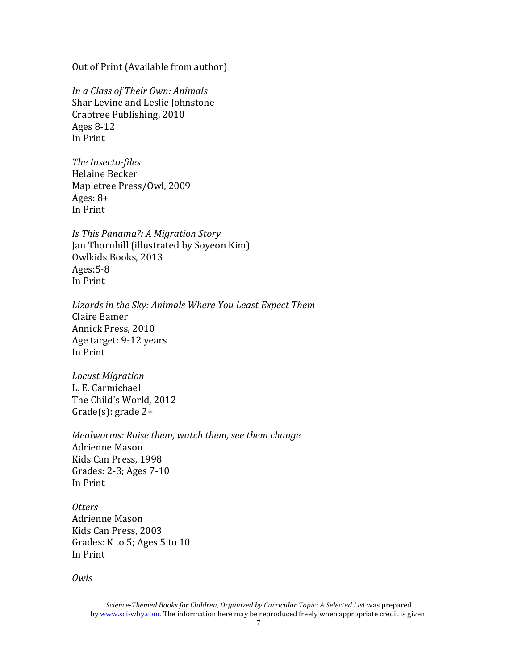Out of Print (Available from author)

*In a Class of Their Own: Animals* Shar Levine and Leslie Johnstone Crabtree Publishing, 2010 Ages 8-12 In Print

*The Insecto-files*  Helaine Becker Mapletree Press/Owl, 2009 Ages: 8+ In Print

*Is This Panama?: A Migration Story* Jan Thornhill (illustrated by Soyeon Kim) Owlkids Books, 2013 Ages:5-8 In Print

*Lizards in the Sky: Animals Where You Least Expect Them* Claire Eamer Annick Press, 2010 Age target: 9-12 years In Print

*Locust Migration* L. E. Carmichael The Child's World, 2012 Grade(s): grade 2+

*Mealworms: Raise them, watch them, see them change* Adrienne Mason Kids Can Press, 1998 Grades: 2-3; Ages 7-10 In Print

*Otters* Adrienne Mason Kids Can Press, 2003 Grades: K to 5; Ages 5 to 10 In Print

*Owls*

*Science-Themed Books for Children, Organized by Curricular Topic: A Selected List* was prepared b[y www.sci-why.com.](http://www.sci-why.com/) The information here may be reproduced freely when appropriate credit is given.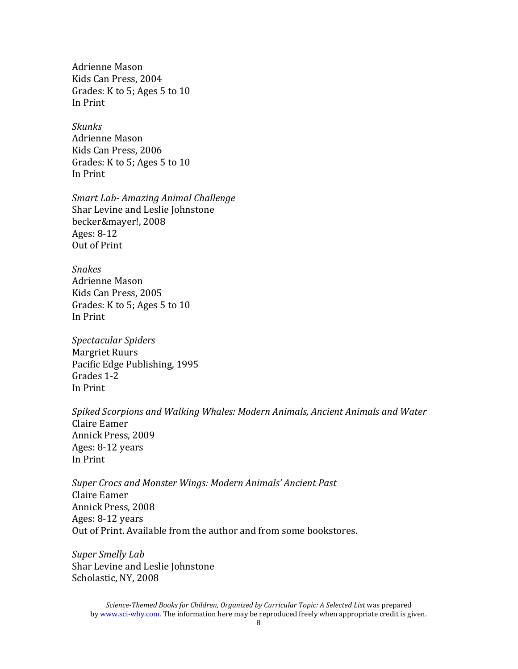Adrienne Mason Kids Can Press, 2004 Grades: K to 5; Ages 5 to 10 In Print

*Skunks* Adrienne Mason Kids Can Press, 2006 Grades: K to 5; Ages 5 to 10 In Print

*Smart Lab- Amazing Animal Challenge* Shar Levine and Leslie Johnstone becker&mayer!, 2008 Ages: 8-12 Out of Print

*Snakes* Adrienne Mason Kids Can Press, 2005 Grades: K to 5; Ages 5 to 10 In Print

*Spectacular Spiders* Margriet Ruurs Pacific Edge Publishing, 1995 Grades 1-2 In Print

*Spiked Scorpions and Walking Whales: Modern Animals, Ancient Animals and Water* Claire Eamer Annick Press, 2009 Ages: 8-12 years In Print

*Super Crocs and Monster Wings: Modern Animals' Ancient Past* Claire Eamer Annick Press, 2008 Ages: 8-12 years Out of Print. Available from the author and from some bookstores.

*Super Smelly Lab* Shar Levine and Leslie Johnstone Scholastic, NY, 2008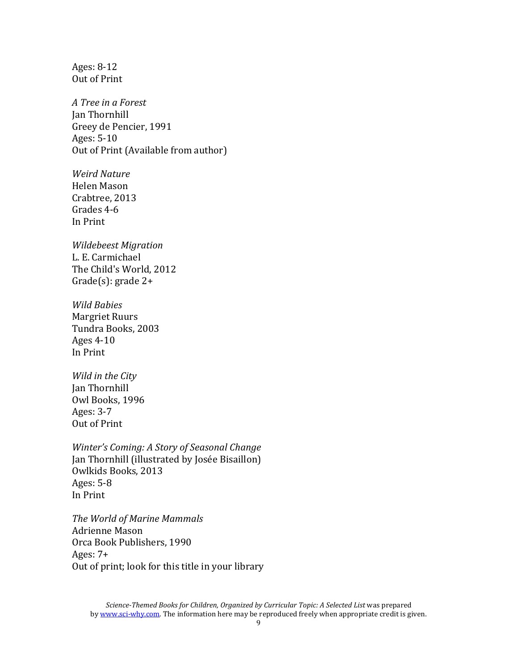Ages: 8-12 Out of Print

*A Tree in a Forest* Jan Thornhill Greey de Pencier, 1991 Ages: 5-10 Out of Print (Available from author)

*Weird Nature* Helen Mason Crabtree, 2013 Grades 4-6 In Print

*Wildebeest Migration* L. E. Carmichael The Child's World, 2012 Grade(s): grade 2+

*Wild Babies* Margriet Ruurs Tundra Books, 2003 Ages 4-10 In Print

*Wild in the City* Jan Thornhill Owl Books, 1996 Ages: 3-7 Out of Print

*Winter's Coming: A Story of Seasonal Change* Jan Thornhill (illustrated by Josée Bisaillon) Owlkids Books, 2013 Ages: 5-8 In Print

*The World of Marine Mammals* Adrienne Mason Orca Book Publishers, 1990 Ages: 7+ Out of print; look for this title in your library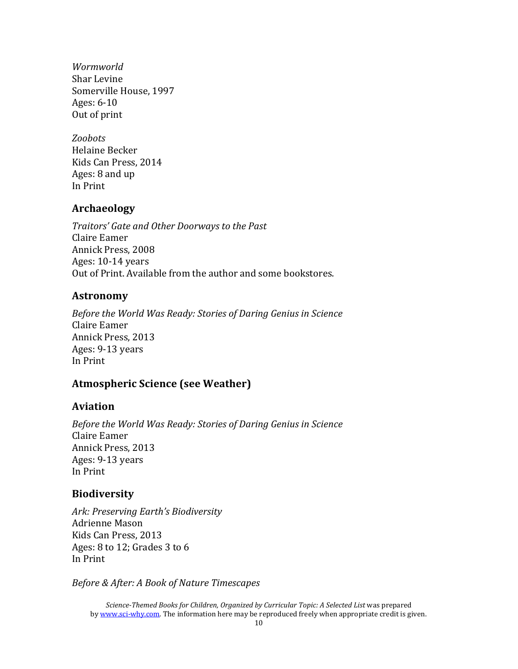*Wormworld* Shar Levine Somerville House, 1997 Ages: 6-10 Out of print

*Zoobots* Helaine Becker Kids Can Press, 2014 Ages: 8 and up In Print

### **Archaeology**

*Traitors' Gate and Other Doorways to the Past* Claire Eamer Annick Press, 2008 Ages: 10-14 years Out of Print. Available from the author and some bookstores.

### **Astronomy**

*Before the World Was Ready: Stories of Daring Genius in Science* Claire Eamer Annick Press, 2013 Ages: 9-13 years In Print

# **Atmospheric Science (see Weather)**

#### **Aviation**

*Before the World Was Ready: Stories of Daring Genius in Science* Claire Eamer Annick Press, 2013 Ages: 9-13 years In Print

# **Biodiversity**

*Ark: Preserving Earth's Biodiversity* Adrienne Mason Kids Can Press, 2013 Ages: 8 to 12; Grades 3 to 6 In Print

*Before & After: A Book of Nature Timescapes*

*Science-Themed Books for Children, Organized by Curricular Topic: A Selected List* was prepared b[y www.sci-why.com.](http://www.sci-why.com/) The information here may be reproduced freely when appropriate credit is given.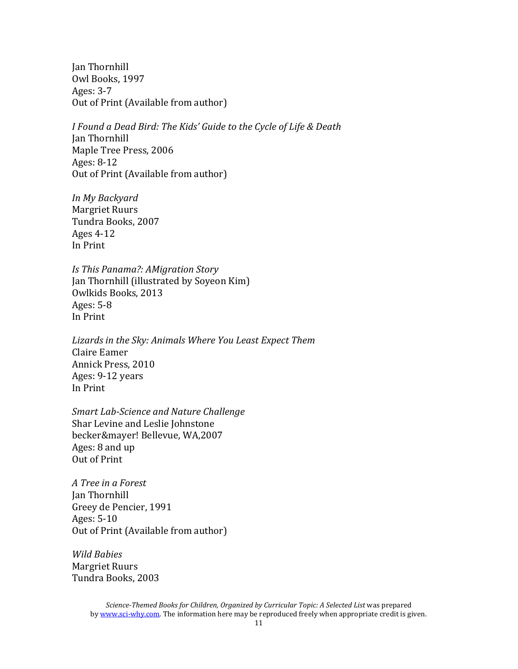Jan Thornhill Owl Books, 1997 Ages: 3-7 Out of Print (Available from author)

*I Found a Dead Bird: The Kids' Guide to the Cycle of Life & Death* Jan Thornhill Maple Tree Press, 2006 Ages: 8-12 Out of Print (Available from author)

*In My Backyard* Margriet Ruurs Tundra Books, 2007 Ages 4-12 In Print

*Is This Panama?: AMigration Story* Jan Thornhill (illustrated by Soyeon Kim) Owlkids Books, 2013 Ages: 5-8 In Print

*Lizards in the Sky: Animals Where You Least Expect Them* Claire Eamer Annick Press, 2010 Ages: 9-12 years In Print

*Smart Lab-Science and Nature Challenge* Shar Levine and Leslie Johnstone becker&mayer! Bellevue, WA,2007 Ages: 8 and up Out of Print

*A Tree in a Forest* Jan Thornhill Greey de Pencier, 1991 Ages: 5-10 Out of Print (Available from author)

*Wild Babies* Margriet Ruurs Tundra Books, 2003

*Science-Themed Books for Children, Organized by Curricular Topic: A Selected List* was prepared b[y www.sci-why.com.](http://www.sci-why.com/) The information here may be reproduced freely when appropriate credit is given.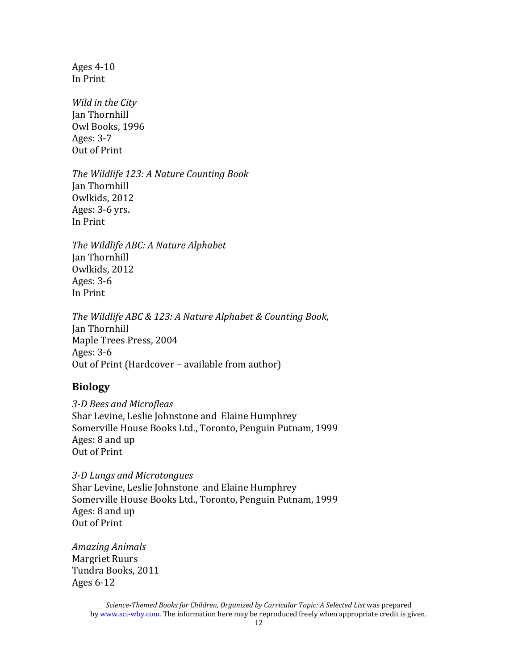Ages 4-10 In Print

*Wild in the City* Jan Thornhill Owl Books, 1996 Ages: 3-7 Out of Print

*The Wildlife 123: A Nature Counting Book* Jan Thornhill Owlkids, 2012 Ages: 3-6 yrs. In Print

*The Wildlife ABC: A Nature Alphabet* Jan Thornhill Owlkids, 2012 Ages: 3-6 In Print

*The Wildlife ABC & 123: A Nature Alphabet & Counting Book*, Jan Thornhill Maple Trees Press, 2004 Ages: 3-6 Out of Print (Hardcover – available from author)

#### **Biology**

*3-D Bees and Microfleas* Shar Levine, Leslie Johnstone and Elaine Humphrey Somerville House Books Ltd., Toronto, Penguin Putnam, 1999 Ages: 8 and up Out of Print

*3-D Lungs and Microtongues* Shar Levine, Leslie Johnstone and Elaine Humphrey Somerville House Books Ltd., Toronto, Penguin Putnam, 1999 Ages: 8 and up Out of Print

*Amazing Animals* Margriet Ruurs Tundra Books, 2011 Ages 6-12

*Science-Themed Books for Children, Organized by Curricular Topic: A Selected List* was prepared b[y www.sci-why.com.](http://www.sci-why.com/) The information here may be reproduced freely when appropriate credit is given.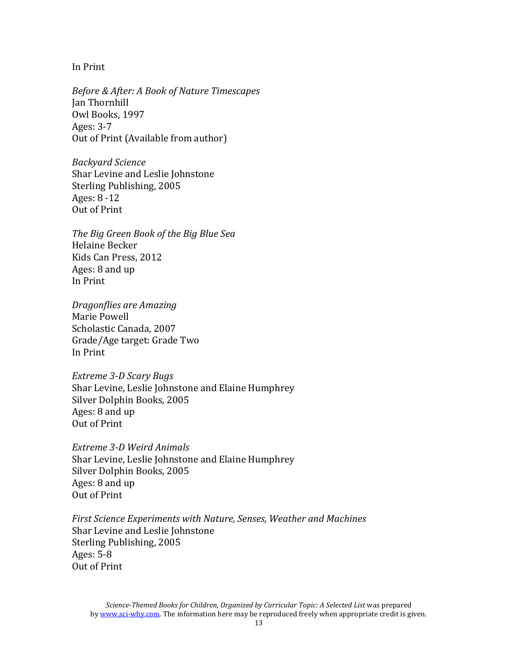In Print

*Before & After: A Book of Nature Timescapes* Jan Thornhill Owl Books, 1997 Ages: 3-7 Out of Print (Available from author)

*Backyard Science* Shar Levine and Leslie Johnstone Sterling Publishing, 2005 Ages: 8 -12 Out of Print

*The Big Green Book of the Big Blue Sea* Helaine Becker Kids Can Press, 2012 Ages: 8 and up In Print

*Dragonflies are Amazing* Marie Powell Scholastic Canada, 2007 Grade/Age target: Grade Two In Print

*Extreme 3-D Scary Bugs* Shar Levine, Leslie Johnstone and Elaine Humphrey Silver Dolphin Books, 2005 Ages: 8 and up Out of Print

*Extreme 3-D Weird Animals* Shar Levine, Leslie Johnstone and Elaine Humphrey Silver Dolphin Books, 2005 Ages: 8 and up Out of Print

*First Science Experiments with Nature, Senses, Weather and Machines* Shar Levine and Leslie Johnstone Sterling Publishing, 2005 Ages: 5-8 Out of Print

*Science-Themed Books for Children, Organized by Curricular Topic: A Selected List* was prepared b[y www.sci-why.com.](http://www.sci-why.com/) The information here may be reproduced freely when appropriate credit is given.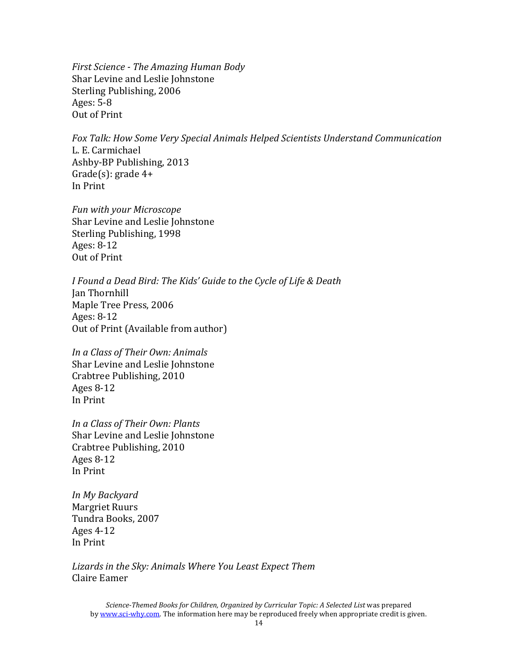*First Science - The Amazing Human Body* Shar Levine and Leslie Johnstone Sterling Publishing, 2006 Ages: 5-8 Out of Print

*Fox Talk: How Some Very Special Animals Helped Scientists Understand Communication* L. E. Carmichael Ashby-BP Publishing, 2013 Grade(s):  $\text{grade }4+$ In Print

*Fun with your Microscope* Shar Levine and Leslie Johnstone Sterling Publishing, 1998 Ages: 8-12 Out of Print

*I Found a Dead Bird: The Kids' Guide to the Cycle of Life & Death* Jan Thornhill Maple Tree Press, 2006 Ages: 8-12 Out of Print (Available from author)

*In a Class of Their Own: Animals* Shar Levine and Leslie Johnstone Crabtree Publishing, 2010 Ages 8-12 In Print

*In a Class of Their Own: Plants* Shar Levine and Leslie Johnstone Crabtree Publishing, 2010 Ages 8-12 In Print

*In My Backyard* Margriet Ruurs Tundra Books, 2007 Ages 4-12 In Print

*Lizards in the Sky: Animals Where You Least Expect Them* Claire Eamer

*Science-Themed Books for Children, Organized by Curricular Topic: A Selected List* was prepared b[y www.sci-why.com.](http://www.sci-why.com/) The information here may be reproduced freely when appropriate credit is given.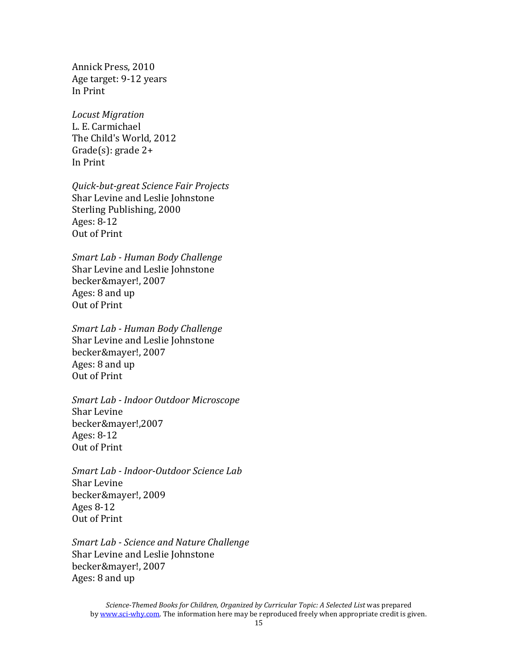Annick Press, 2010 Age target: 9-12 years In Print

*Locust Migration* L. E. Carmichael The Child's World, 2012 Grade(s): grade 2+ In Print

*Quick-but-great Science Fair Projects* Shar Levine and Leslie Johnstone Sterling Publishing, 2000 Ages: 8-12 Out of Print

*Smart Lab - Human Body Challenge* Shar Levine and Leslie Johnstone becker&mayer!, 2007 Ages: 8 and up Out of Print

*Smart Lab - Human Body Challenge* Shar Levine and Leslie Johnstone becker&mayer!, 2007 Ages: 8 and up Out of Print

*Smart Lab - Indoor Outdoor Microscope* Shar Levine becker&mayer!,2007 Ages: 8-12 Out of Print

*Smart Lab - Indoor-Outdoor Science Lab* Shar Levine becker&mayer!, 2009 Ages 8-12 Out of Print

*Smart Lab - Science and Nature Challenge* Shar Levine and Leslie Johnstone becker&mayer!, 2007 Ages: 8 and up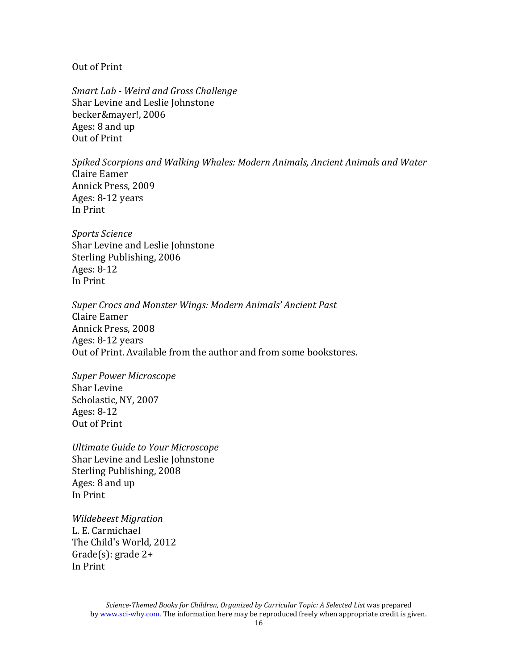Out of Print

*Smart Lab - Weird and Gross Challenge* Shar Levine and Leslie Johnstone becker&mayer!, 2006 Ages: 8 and up Out of Print

*Spiked Scorpions and Walking Whales: Modern Animals, Ancient Animals and Water* Claire Eamer Annick Press, 2009 Ages: 8-12 years In Print

*Sports Science* Shar Levine and Leslie Johnstone Sterling Publishing, 2006 Ages: 8-12 In Print

*Super Crocs and Monster Wings: Modern Animals' Ancient Past* Claire Eamer Annick Press, 2008 Ages: 8-12 years Out of Print. Available from the author and from some bookstores.

*Super Power Microscope* Shar Levine Scholastic, NY, 2007 Ages: 8-12 Out of Print

*Ultimate Guide to Your Microscope* Shar Levine and Leslie Johnstone Sterling Publishing, 2008 Ages: 8 and up In Print

*Wildebeest Migration* L. E. Carmichael The Child's World, 2012 Grade(s): grade 2+ In Print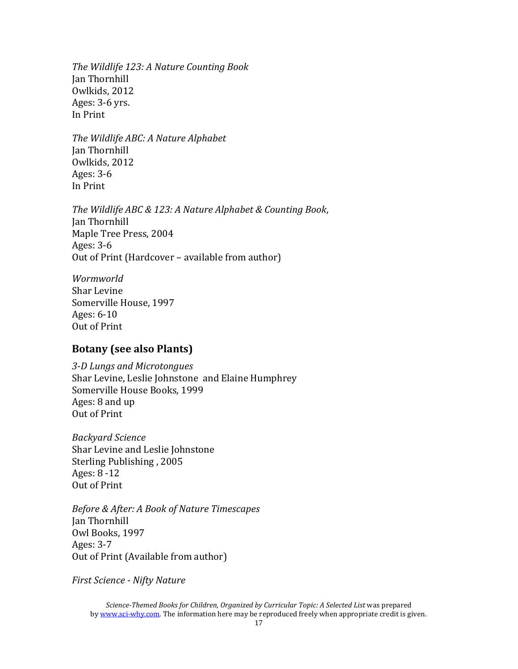*The Wildlife 123: A Nature Counting Book* Jan Thornhill Owlkids, 2012 Ages: 3-6 yrs. In Print

*The Wildlife ABC: A Nature Alphabet* Jan Thornhill Owlkids, 2012 Ages: 3-6 In Print

*The Wildlife ABC & 123: A Nature Alphabet & Counting Book*, Jan Thornhill Maple Tree Press, 2004 Ages: 3-6 Out of Print (Hardcover – available from author)

*Wormworld* Shar Levine Somerville House, 1997 Ages: 6-10 Out of Print

#### **Botany (see also Plants)**

*3-D Lungs and Microtongues* Shar Levine, Leslie Johnstone and Elaine Humphrey Somerville House Books, 1999 Ages: 8 and up Out of Print

*Backyard Science* Shar Levine and Leslie Johnstone Sterling Publishing , 2005 Ages: 8 -12 Out of Print

*Before & After: A Book of Nature Timescapes* Jan Thornhill Owl Books, 1997 Ages: 3-7 Out of Print (Available from author)

*First Science - Nifty Nature*

*Science-Themed Books for Children, Organized by Curricular Topic: A Selected List* was prepared b[y www.sci-why.com.](http://www.sci-why.com/) The information here may be reproduced freely when appropriate credit is given.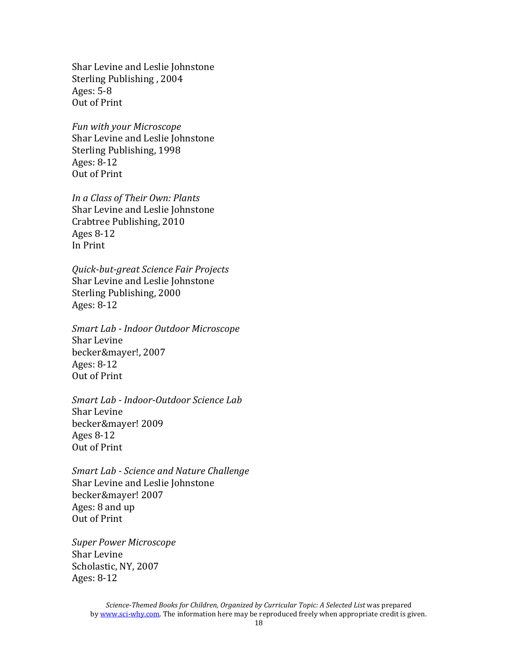Shar Levine and Leslie Johnstone Sterling Publishing , 2004 Ages: 5-8 Out of Print

*Fun with your Microscope* Shar Levine and Leslie Johnstone Sterling Publishing, 1998 Ages: 8-12 Out of Print

*In a Class of Their Own: Plants* Shar Levine and Leslie Johnstone Crabtree Publishing, 2010 Ages 8-12 In Print

*Quick-but-great Science Fair Projects* Shar Levine and Leslie Johnstone Sterling Publishing, 2000 Ages: 8-12

*Smart Lab - Indoor Outdoor Microscope* Shar Levine becker&mayer!, 2007 Ages: 8-12 Out of Print

*Smart Lab - Indoor-Outdoor Science Lab* Shar Levine becker&mayer! 2009 Ages 8-12 Out of Print

*Smart Lab - Science and Nature Challenge* Shar Levine and Leslie Johnstone becker&mayer! 2007 Ages: 8 and up Out of Print

*Super Power Microscope* Shar Levine Scholastic, NY, 2007 Ages: 8-12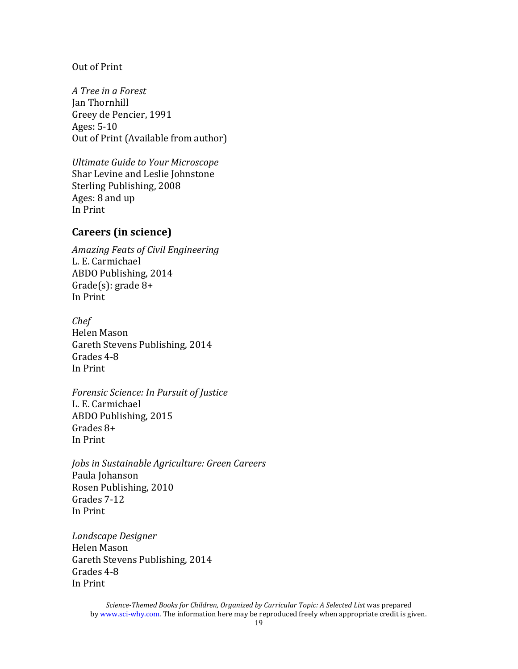#### Out of Print

*A Tree in a Forest* Jan Thornhill Greey de Pencier, 1991 Ages: 5-10 Out of Print (Available from author)

*Ultimate Guide to Your Microscope* Shar Levine and Leslie Johnstone Sterling Publishing, 2008 Ages: 8 and up In Print

### **Careers (in science)**

*Amazing Feats of Civil Engineering* L. E. Carmichael ABDO Publishing, 2014 Grade(s): grade 8+ In Print

*Chef* Helen Mason Gareth Stevens Publishing, 2014 Grades 4-8 In Print

*Forensic Science: In Pursuit of Justice* L. E. Carmichael ABDO Publishing, 2015 Grades 8+ In Print

*Jobs in Sustainable Agriculture: Green Careers* Paula Johanson Rosen Publishing, 2010 Grades 7-12 In Print

*Landscape Designer* Helen Mason Gareth Stevens Publishing, 2014 Grades 4-8 In Print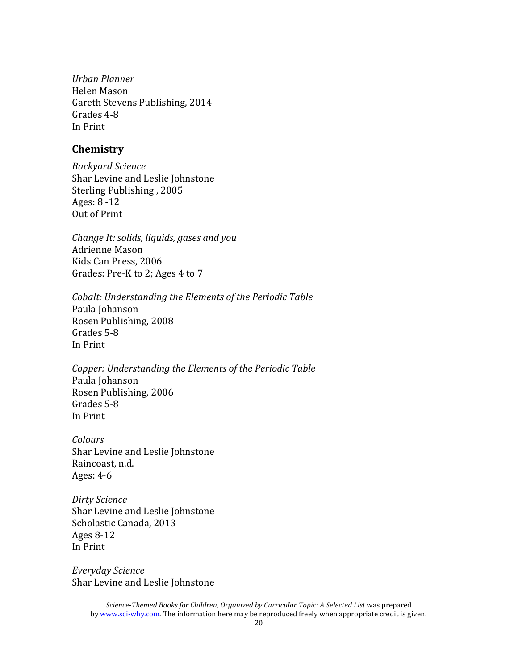*Urban Planner* Helen Mason Gareth Stevens Publishing, 2014 Grades 4-8 In Print

#### **Chemistry**

*Backyard Science* Shar Levine and Leslie Johnstone Sterling Publishing , 2005 Ages: 8 -12 Out of Print

*Change It: solids, liquids, gases and you* Adrienne Mason Kids Can Press, 2006 Grades: Pre-K to 2; Ages 4 to 7

*Cobalt: Understanding the Elements of the Periodic Table* Paula Johanson Rosen Publishing, 2008 Grades 5-8 In Print

*Copper: Understanding the Elements of the Periodic Table* Paula Johanson Rosen Publishing, 2006 Grades 5-8 In Print

*Colours* Shar Levine and Leslie Johnstone Raincoast, n.d. Ages: 4-6

*Dirty Science* Shar Levine and Leslie Johnstone Scholastic Canada, 2013 Ages 8-12 In Print

*Everyday Science* Shar Levine and Leslie Johnstone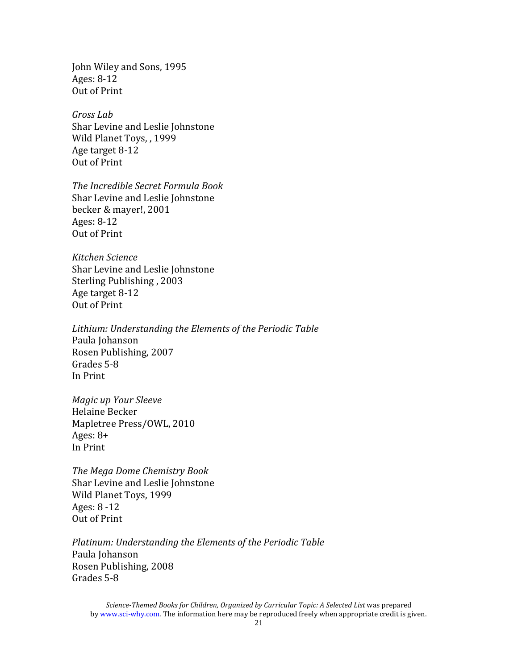John Wiley and Sons, 1995 Ages: 8-12 Out of Print

*Gross Lab* Shar Levine and Leslie Johnstone Wild Planet Toys, , 1999 Age target 8-12 Out of Print

*The Incredible Secret Formula Book* Shar Levine and Leslie Johnstone becker & mayer!, 2001 Ages: 8-12 Out of Print

*Kitchen Science* Shar Levine and Leslie Johnstone Sterling Publishing , 2003 Age target 8-12 Out of Print

*Lithium: Understanding the Elements of the Periodic Table* Paula Johanson Rosen Publishing, 2007 Grades 5-8 In Print

*Magic up Your Sleeve* Helaine Becker Mapletree Press/OWL, 2010 Ages:  $8+$ In Print

*The Mega Dome Chemistry Book* Shar Levine and Leslie Johnstone Wild Planet Toys, 1999 Ages: 8 -12 Out of Print

*Platinum: Understanding the Elements of the Periodic Table* Paula Johanson Rosen Publishing, 2008 Grades 5-8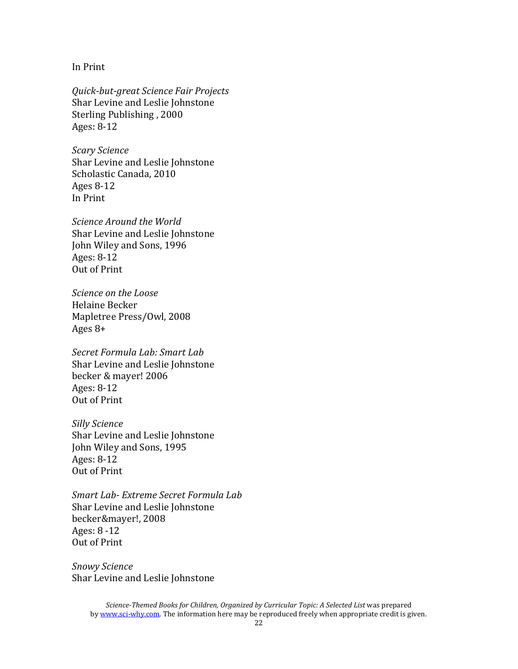#### In Print

*Quick-but-great Science Fair Projects* Shar Levine and Leslie Johnstone Sterling Publishing , 2000 Ages: 8-12

*Scary Science* Shar Levine and Leslie Johnstone Scholastic Canada, 2010 Ages 8-12 In Print

*Science Around the World* Shar Levine and Leslie Johnstone John Wiley and Sons, 1996 Ages: 8-12 Out of Print

*Science on the Loose* Helaine Becker Mapletree Press/Owl, 2008 Ages 8+

*Secret Formula Lab: Smart Lab* Shar Levine and Leslie Johnstone becker & mayer! 2006 Ages: 8-12 Out of Print

*Silly Science* Shar Levine and Leslie Johnstone John Wiley and Sons, 1995 Ages: 8-12 Out of Print

*Smart Lab- Extreme Secret Formula Lab* Shar Levine and Leslie Johnstone becker&mayer!, 2008 Ages: 8 -12 Out of Print

*Snowy Science* Shar Levine and Leslie Johnstone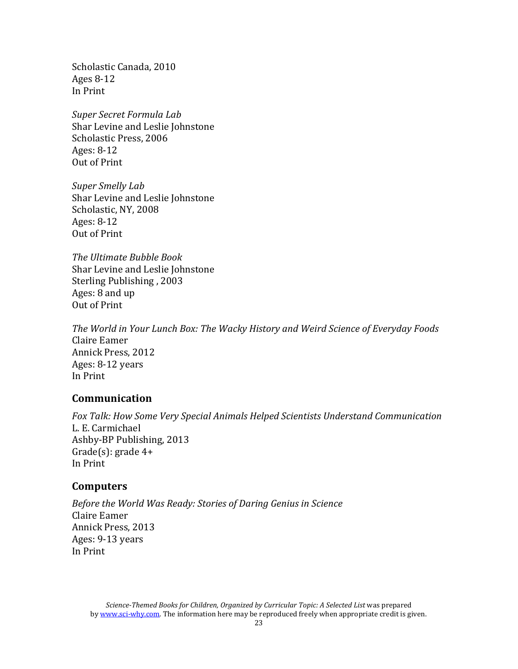Scholastic Canada, 2010 Ages 8-12 In Print

*Super Secret Formula Lab* Shar Levine and Leslie Johnstone Scholastic Press, 2006 Ages: 8-12 Out of Print

*Super Smelly Lab* Shar Levine and Leslie Johnstone Scholastic, NY, 2008 Ages: 8-12 Out of Print

*The Ultimate Bubble Book* Shar Levine and Leslie Johnstone Sterling Publishing , 2003 Ages: 8 and up Out of Print

*The World in Your Lunch Box: The Wacky History and Weird Science of Everyday Foods* Claire Eamer Annick Press, 2012 Ages: 8-12 years In Print

#### **Communication**

*Fox Talk: How Some Very Special Animals Helped Scientists Understand Communication* L. E. Carmichael Ashby-BP Publishing, 2013 Grade(s): grade 4+ In Print

#### **Computers**

*Before the World Was Ready: Stories of Daring Genius in Science* Claire Eamer Annick Press, 2013 Ages: 9-13 years In Print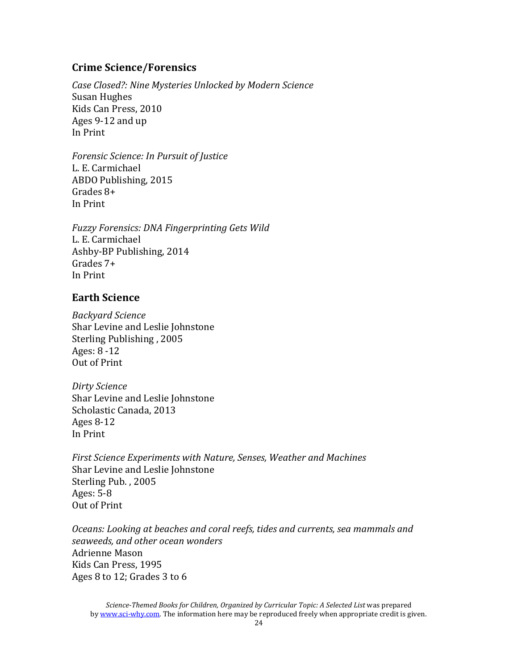### **Crime Science/Forensics**

*Case Closed?: Nine Mysteries Unlocked by Modern Science* Susan Hughes Kids Can Press, 2010 Ages 9-12 and up In Print

*Forensic Science: In Pursuit of Justice* L. E. Carmichael ABDO Publishing, 2015 Grades 8+ In Print

*Fuzzy Forensics: DNA Fingerprinting Gets Wild* L. E. Carmichael Ashby-BP Publishing, 2014 Grades 7+ In Print

# **Earth Science**

*Backyard Science* Shar Levine and Leslie Johnstone Sterling Publishing , 2005 Ages: 8 -12 Out of Print

*Dirty Science* Shar Levine and Leslie Johnstone Scholastic Canada, 2013 Ages 8-12 In Print

*First Science Experiments with Nature, Senses, Weather and Machines* Shar Levine and Leslie Johnstone Sterling Pub. , 2005 Ages: 5-8 Out of Print

*Oceans: Looking at beaches and coral reefs, tides and currents, sea mammals and seaweeds, and other ocean wonders* Adrienne Mason Kids Can Press, 1995 Ages 8 to 12; Grades 3 to 6

*Science-Themed Books for Children, Organized by Curricular Topic: A Selected List* was prepared b[y www.sci-why.com.](http://www.sci-why.com/) The information here may be reproduced freely when appropriate credit is given.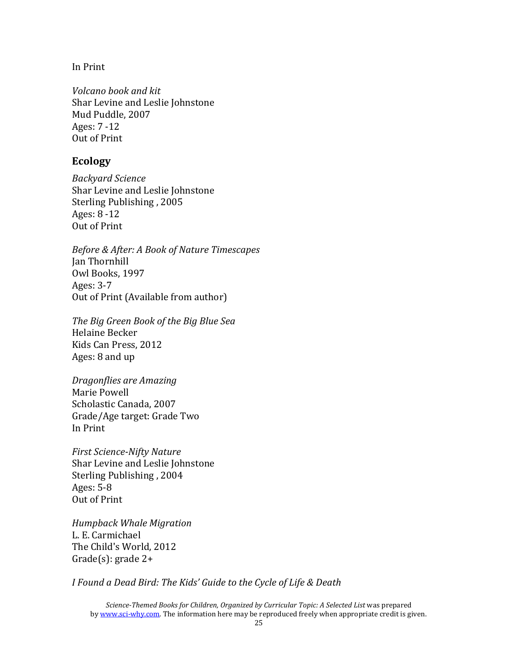In Print

*Volcano book and kit* Shar Levine and Leslie Johnstone Mud Puddle, 2007 Ages: 7 -12 Out of Print

### **Ecology**

*Backyard Science* Shar Levine and Leslie Johnstone Sterling Publishing , 2005 Ages: 8 -12 Out of Print

*Before & After: A Book of Nature Timescapes* Jan Thornhill Owl Books, 1997 Ages: 3-7 Out of Print (Available from author)

*The Big Green Book of the Big Blue Sea* Helaine Becker Kids Can Press, 2012 Ages: 8 and up

*Dragonflies are Amazing* Marie Powell Scholastic Canada, 2007 Grade/Age target: Grade Two In Print

*First Science-Nifty Nature* Shar Levine and Leslie Johnstone Sterling Publishing , 2004 Ages: 5-8 Out of Print

*Humpback Whale Migration* L. E. Carmichael The Child's World, 2012 Grade(s): grade 2+

*I Found a Dead Bird: The Kids' Guide to the Cycle of Life & Death*

*Science-Themed Books for Children, Organized by Curricular Topic: A Selected List* was prepared b[y www.sci-why.com.](http://www.sci-why.com/) The information here may be reproduced freely when appropriate credit is given.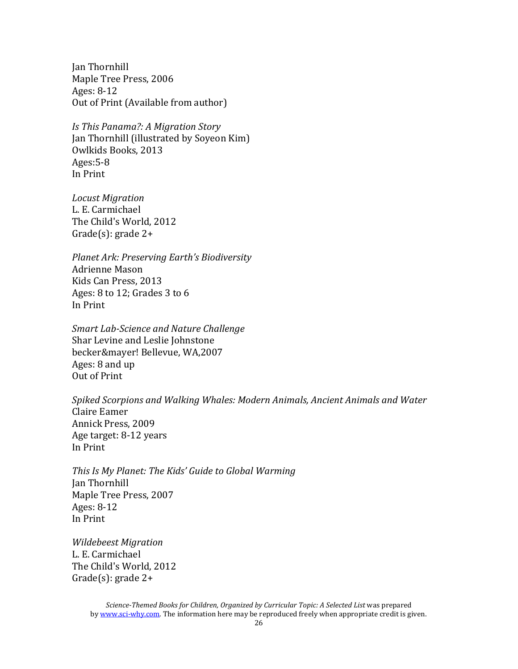Jan Thornhill Maple Tree Press, 2006 Ages: 8-12 Out of Print (Available from author)

*Is This Panama?: A Migration Story* Jan Thornhill (illustrated by Soyeon Kim) Owlkids Books, 2013 Ages:5-8 In Print

*Locust Migration* L. E. Carmichael The Child's World, 2012 Grade(s): grade 2+

*Planet Ark: Preserving Earth's Biodiversity* Adrienne Mason Kids Can Press, 2013 Ages: 8 to 12; Grades 3 to 6 In Print

*Smart Lab-Science and Nature Challenge* Shar Levine and Leslie Johnstone becker&mayer! Bellevue, WA,2007 Ages: 8 and up Out of Print

*Spiked Scorpions and Walking Whales: Modern Animals, Ancient Animals and Water* Claire Eamer Annick Press, 2009 Age target: 8-12 years In Print

*This Is My Planet: The Kids' Guide to Global Warming* Jan Thornhill Maple Tree Press, 2007 Ages: 8-12 In Print

*Wildebeest Migration* L. E. Carmichael The Child's World, 2012 Grade(s): grade 2+

*Science-Themed Books for Children, Organized by Curricular Topic: A Selected List* was prepared b[y www.sci-why.com.](http://www.sci-why.com/) The information here may be reproduced freely when appropriate credit is given.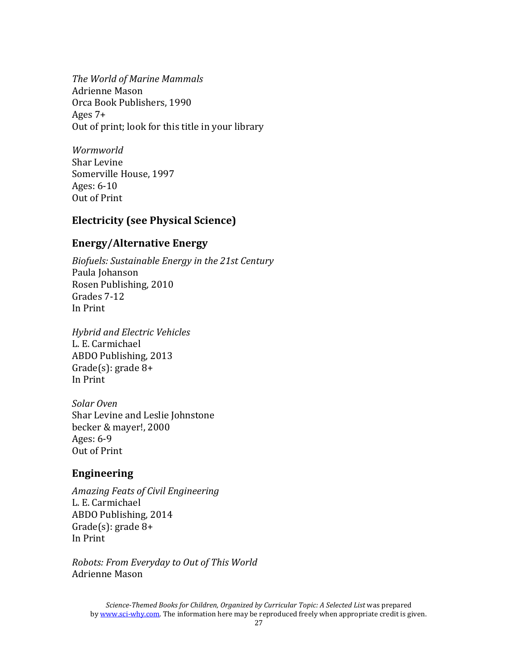*The World of Marine Mammals* Adrienne Mason Orca Book Publishers, 1990 Ages 7+ Out of print; look for this title in your library

*Wormworld* Shar Levine Somerville House, 1997 Ages: 6-10 Out of Print

# **Electricity (see Physical Science)**

# **Energy/Alternative Energy**

*Biofuels: Sustainable Energy in the 21st Century* Paula Johanson Rosen Publishing, 2010 Grades 7-12 In Print

*Hybrid and Electric Vehicles* L. E. Carmichael ABDO Publishing, 2013 Grade(s): grade 8+ In Print

*Solar Oven* Shar Levine and Leslie Johnstone becker & mayer!, 2000 Ages: 6-9 Out of Print

# **Engineering**

*Amazing Feats of Civil Engineering* L. E. Carmichael ABDO Publishing, 2014 Grade(s): grade 8+ In Print

*Robots: From Everyday to Out of This World* Adrienne Mason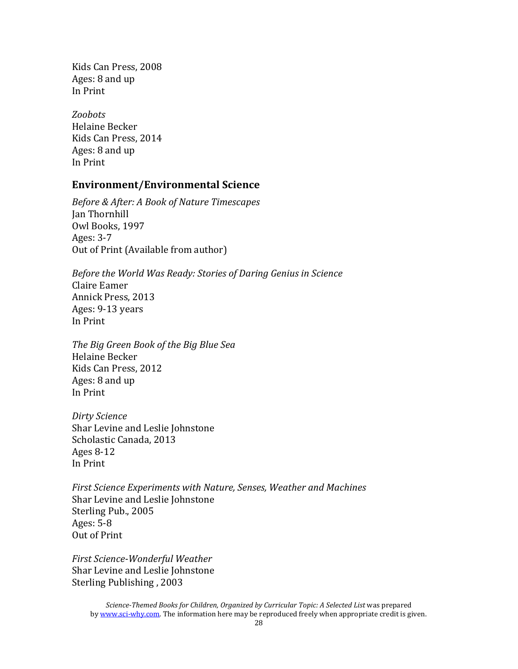Kids Can Press, 2008 Ages: 8 and up In Print

*Zoobots* Helaine Becker Kids Can Press, 2014 Ages: 8 and up In Print

#### **Environment/Environmental Science**

*Before & After: A Book of Nature Timescapes* Jan Thornhill Owl Books, 1997 Ages: 3-7 Out of Print (Available from author)

*Before the World Was Ready: Stories of Daring Genius in Science* Claire Eamer Annick Press, 2013 Ages: 9-13 years In Print

*The Big Green Book of the Big Blue Sea* Helaine Becker Kids Can Press, 2012 Ages: 8 and up In Print

*Dirty Science* Shar Levine and Leslie Johnstone Scholastic Canada, 2013 Ages 8-12 In Print

*First Science Experiments with Nature, Senses, Weather and Machines* Shar Levine and Leslie Johnstone Sterling Pub., 2005 Ages: 5-8 Out of Print

*First Science-Wonderful Weather* Shar Levine and Leslie Johnstone Sterling Publishing , 2003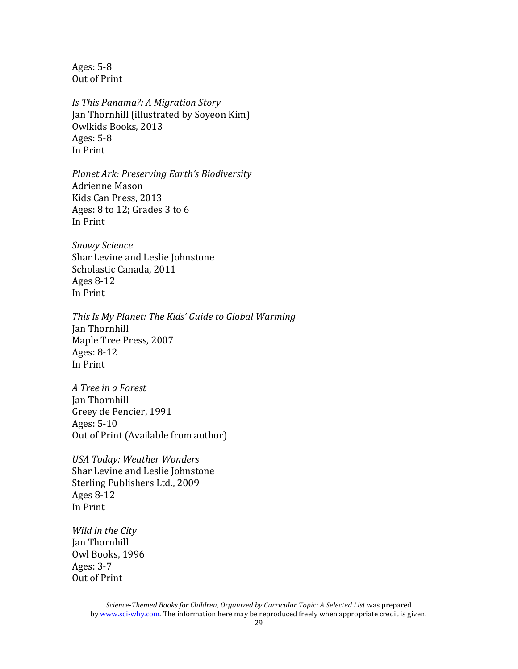Ages: 5-8 Out of Print

*Is This Panama?: A Migration Story* Jan Thornhill (illustrated by Soyeon Kim) Owlkids Books, 2013 Ages: 5-8 In Print

*Planet Ark: Preserving Earth's Biodiversity* Adrienne Mason Kids Can Press, 2013 Ages: 8 to 12; Grades 3 to 6 In Print

*Snowy Science* Shar Levine and Leslie Johnstone Scholastic Canada, 2011 Ages 8-12 In Print

*This Is My Planet: The Kids' Guide to Global Warming* Jan Thornhill Maple Tree Press, 2007 Ages: 8-12 In Print

*A Tree in a Forest* Jan Thornhill Greey de Pencier, 1991 Ages: 5-10 Out of Print (Available from author)

*USA Today: Weather Wonders* Shar Levine and Leslie Johnstone Sterling Publishers Ltd., 2009 Ages 8-12 In Print

*Wild in the City* Jan Thornhill Owl Books, 1996 Ages: 3-7 Out of Print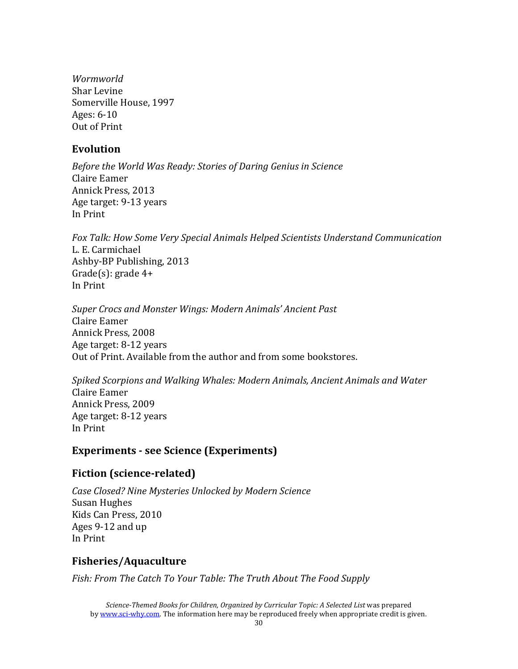*Wormworld* Shar Levine Somerville House, 1997 Ages: 6-10 Out of Print

# **Evolution**

*Before the World Was Ready: Stories of Daring Genius in Science* Claire Eamer Annick Press, 2013 Age target: 9-13 years In Print

*Fox Talk: How Some Very Special Animals Helped Scientists Understand Communication* L. E. Carmichael Ashby-BP Publishing, 2013 Grade(s): grade 4+ In Print

*Super Crocs and Monster Wings: Modern Animals' Ancient Past* Claire Eamer Annick Press, 2008 Age target: 8-12 years Out of Print. Available from the author and from some bookstores.

*Spiked Scorpions and Walking Whales: Modern Animals, Ancient Animals and Water* Claire Eamer Annick Press, 2009 Age target: 8-12 years In Print

# **Experiments - see Science (Experiments)**

# **Fiction (science-related)**

*Case Closed? Nine Mysteries Unlocked by Modern Science* Susan Hughes Kids Can Press, 2010 Ages 9-12 and up In Print

# **Fisheries/Aquaculture**

*Fish: From The Catch To Your Table: The Truth About The Food Supply*

*Science-Themed Books for Children, Organized by Curricular Topic: A Selected List* was prepared b[y www.sci-why.com.](http://www.sci-why.com/) The information here may be reproduced freely when appropriate credit is given.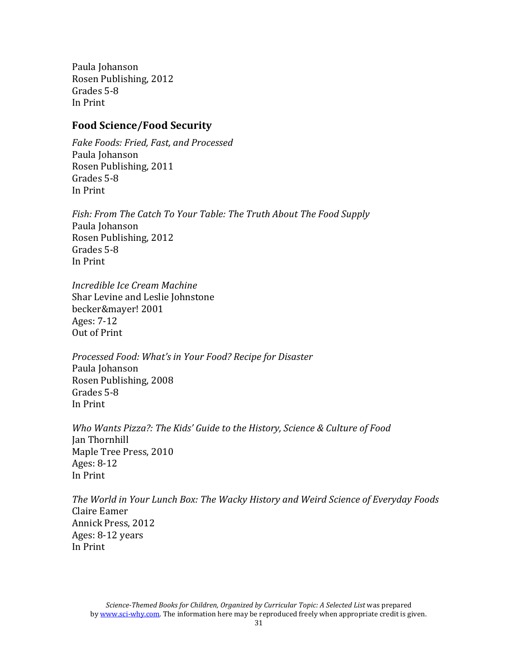Paula Johanson Rosen Publishing, 2012 Grades 5-8 In Print

# **Food Science/Food Security**

*Fake Foods: Fried, Fast, and Processed* Paula Johanson Rosen Publishing, 2011 Grades 5-8 In Print

*Fish: From The Catch To Your Table: The Truth About The Food Supply* Paula Johanson Rosen Publishing, 2012 Grades 5-8 In Print

*Incredible Ice Cream Machine* Shar Levine and Leslie Johnstone becker&mayer! 2001 Ages: 7-12 Out of Print

*Processed Food: What's in Your Food? Recipe for Disaster* Paula Johanson Rosen Publishing, 2008 Grades 5-8 In Print

*Who Wants Pizza?: The Kids' Guide to the History, Science & Culture of Food* Jan Thornhill Maple Tree Press, 2010 Ages: 8-12 In Print

*The World in Your Lunch Box: The Wacky History and Weird Science of Everyday Foods* Claire Eamer Annick Press, 2012 Ages: 8-12 years In Print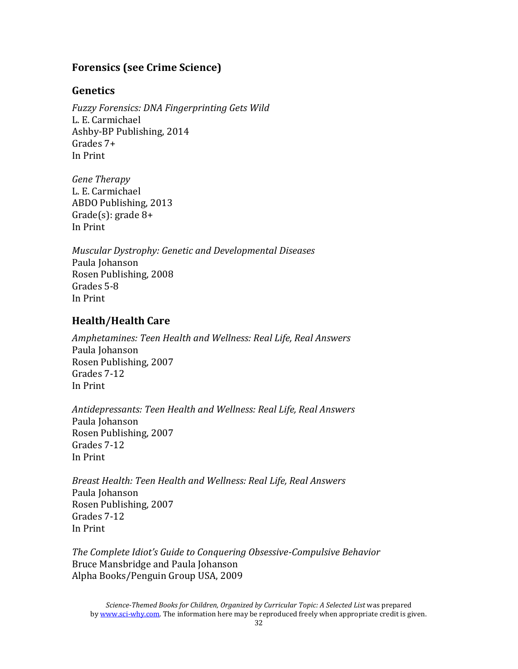# **Forensics (see Crime Science)**

# **Genetics**

*Fuzzy Forensics: DNA Fingerprinting Gets Wild* L. E. Carmichael Ashby-BP Publishing, 2014 Grades 7+ In Print

*Gene Therapy* L. E. Carmichael ABDO Publishing, 2013 Grade(s): grade 8+ In Print

*Muscular Dystrophy: Genetic and Developmental Diseases* Paula Johanson Rosen Publishing, 2008 Grades 5-8 In Print

# **Health/Health Care**

*Amphetamines: Teen Health and Wellness: Real Life, Real Answers* Paula Johanson Rosen Publishing, 2007 Grades 7-12 In Print

*Antidepressants: Teen Health and Wellness: Real Life, Real Answers* Paula Johanson Rosen Publishing, 2007 Grades 7-12 In Print

*Breast Health: Teen Health and Wellness: Real Life, Real Answers* Paula Johanson Rosen Publishing, 2007 Grades 7-12 In Print

*The Complete Idiot's Guide to Conquering Obsessive-Compulsive Behavior* Bruce Mansbridge and Paula Johanson Alpha Books/Penguin Group USA, 2009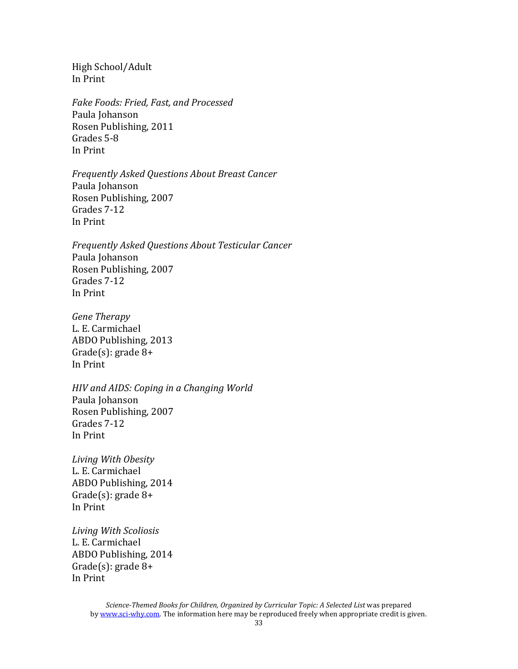High School/Adult In Print

*Fake Foods: Fried, Fast, and Processed* Paula Johanson Rosen Publishing, 2011 Grades 5-8 In Print

*Frequently Asked Questions About Breast Cancer* Paula Johanson Rosen Publishing, 2007 Grades 7-12 In Print

*Frequently Asked Questions About Testicular Cancer* Paula Johanson Rosen Publishing, 2007 Grades 7-12 In Print

*Gene Therapy* L. E. Carmichael ABDO Publishing, 2013 Grade(s): grade 8+ In Print

*HIV and AIDS: Coping in a Changing World* Paula Johanson Rosen Publishing, 2007 Grades 7-12 In Print

*Living With Obesity* L. E. Carmichael ABDO Publishing, 2014 Grade(s): grade 8+ In Print

*Living With Scoliosis* L. E. Carmichael ABDO Publishing, 2014 Grade(s): grade 8+ In Print

> *Science-Themed Books for Children, Organized by Curricular Topic: A Selected List* was prepared b[y www.sci-why.com.](http://www.sci-why.com/) The information here may be reproduced freely when appropriate credit is given.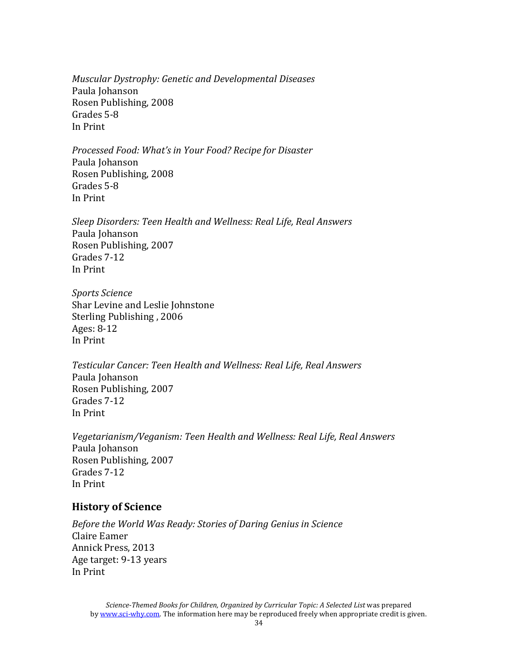*Muscular Dystrophy: Genetic and Developmental Diseases* Paula Johanson Rosen Publishing, 2008 Grades 5-8 In Print

*Processed Food: What's in Your Food? Recipe for Disaster* Paula Johanson Rosen Publishing, 2008 Grades 5-8 In Print

*Sleep Disorders: Teen Health and Wellness: Real Life, Real Answers* Paula Johanson Rosen Publishing, 2007 Grades 7-12 In Print

*Sports Science* Shar Levine and Leslie Johnstone Sterling Publishing , 2006 Ages: 8-12 In Print

*Testicular Cancer: Teen Health and Wellness: Real Life, Real Answers* Paula Johanson Rosen Publishing, 2007 Grades 7-12 In Print

*Vegetarianism/Veganism: Teen Health and Wellness: Real Life, Real Answers* Paula Johanson Rosen Publishing, 2007 Grades 7-12 In Print

#### **History of Science**

*Before the World Was Ready: Stories of Daring Genius in Science* Claire Eamer Annick Press, 2013 Age target: 9-13 years In Print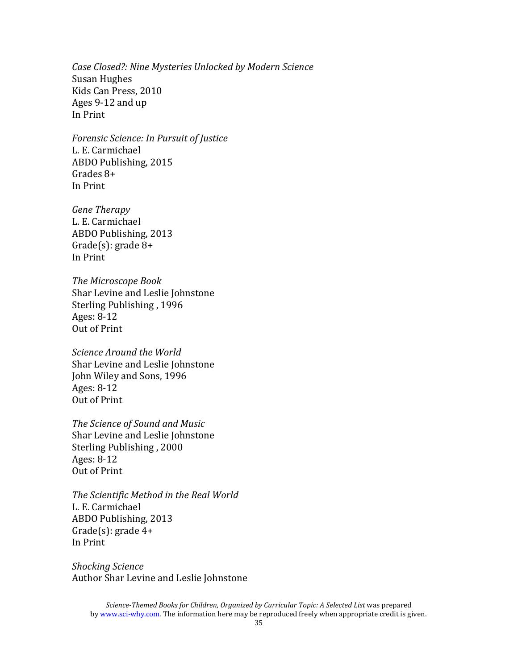*Case Closed?: Nine Mysteries Unlocked by Modern Science* Susan Hughes Kids Can Press, 2010 Ages 9-12 and up In Print

*Forensic Science: In Pursuit of Justice* L. E. Carmichael ABDO Publishing, 2015 Grades 8+ In Print

*Gene Therapy* L. E. Carmichael ABDO Publishing, 2013 Grade(s): grade 8+ In Print

*The Microscope Book*  Shar Levine and Leslie Johnstone Sterling Publishing , 1996 Ages: 8-12 Out of Print

*Science Around the World* Shar Levine and Leslie Johnstone John Wiley and Sons, 1996 Ages: 8-12 Out of Print

*The Science of Sound and Music* Shar Levine and Leslie Johnstone Sterling Publishing , 2000 Ages: 8-12 Out of Print

*The Scientific Method in the Real World* L. E. Carmichael ABDO Publishing, 2013 Grade(s): grade 4+ In Print

*Shocking Science* Author Shar Levine and Leslie Johnstone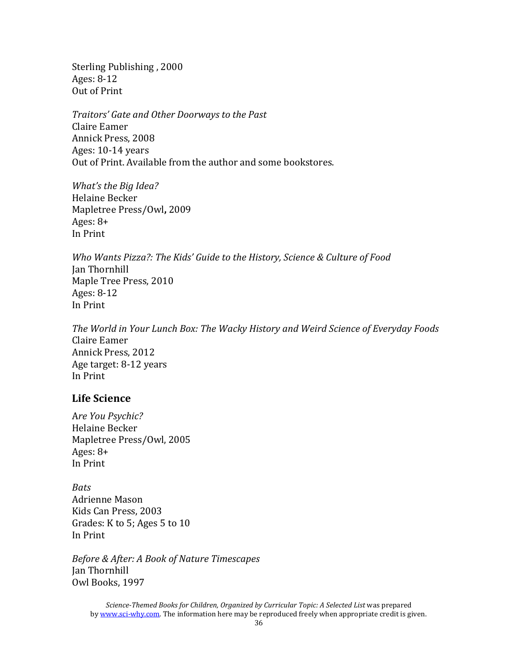Sterling Publishing , 2000 Ages: 8-12 Out of Print

*Traitors' Gate and Other Doorways to the Past* Claire Eamer Annick Press, 2008 Ages: 10-14 years Out of Print. Available from the author and some bookstores.

*What's the Big Idea?* Helaine Becker Mapletree Press/Owl**,** 2009 Ages: 8+ In Print

*Who Wants Pizza?: The Kids' Guide to the History, Science & Culture of Food* Jan Thornhill Maple Tree Press, 2010 Ages: 8-12 In Print

*The World in Your Lunch Box: The Wacky History and Weird Science of Everyday Foods* Claire Eamer Annick Press, 2012 Age target: 8-12 years In Print

#### **Life Science**

A*re You Psychic?* Helaine Becker Mapletree Press/Owl, 2005 Ages:  $8+$ In Print

*Bats* Adrienne Mason Kids Can Press, 2003 Grades: K to 5; Ages 5 to 10 In Print

*Before & After: A Book of Nature Timescapes* Jan Thornhill Owl Books, 1997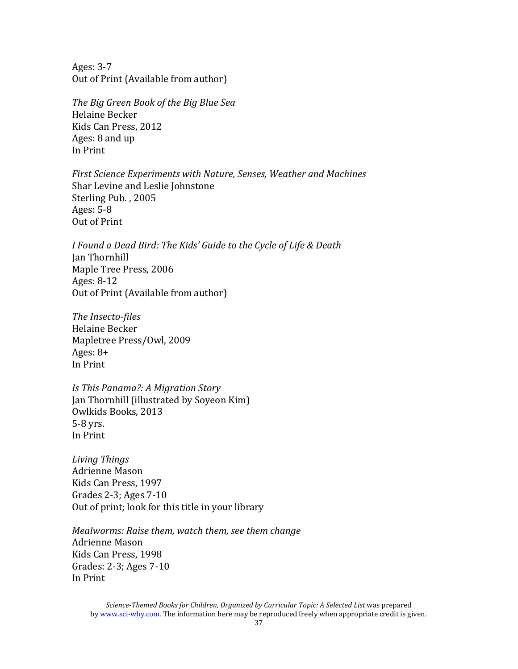Ages: 3-7 Out of Print (Available from author)

*The Big Green Book of the Big Blue Sea* Helaine Becker Kids Can Press, 2012 Ages: 8 and up In Print

*First Science Experiments with Nature, Senses, Weather and Machines* Shar Levine and Leslie Johnstone Sterling Pub. , 2005 Ages: 5-8 Out of Print

*I Found a Dead Bird: The Kids' Guide to the Cycle of Life & Death* Jan Thornhill Maple Tree Press, 2006 Ages: 8-12 Out of Print (Available from author)

*The Insecto-files*  Helaine Becker Mapletree Press/Owl, 2009 Ages:  $8+$ In Print

*Is This Panama?: A Migration Story* Jan Thornhill (illustrated by Soyeon Kim) Owlkids Books, 2013 5-8 yrs. In Print

*Living Things* Adrienne Mason Kids Can Press, 1997 Grades 2-3; Ages 7-10 Out of print; look for this title in your library

*Mealworms: Raise them, watch them, see them change* Adrienne Mason Kids Can Press, 1998 Grades: 2-3; Ages 7-10 In Print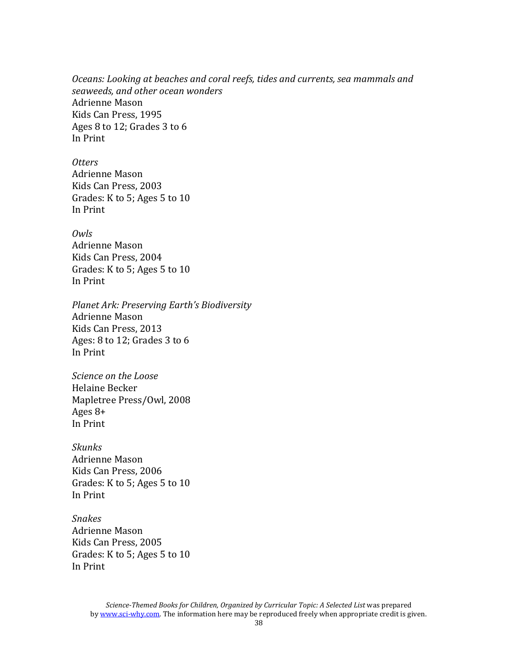*Oceans: Looking at beaches and coral reefs, tides and currents, sea mammals and seaweeds, and other ocean wonders* Adrienne Mason Kids Can Press, 1995 Ages 8 to 12; Grades 3 to 6 In Print

*Otters* Adrienne Mason Kids Can Press, 2003 Grades: K to 5; Ages 5 to 10 In Print

*Owls* Adrienne Mason Kids Can Press, 2004 Grades: K to 5; Ages 5 to 10 In Print

*Planet Ark: Preserving Earth's Biodiversity* Adrienne Mason Kids Can Press, 2013 Ages: 8 to 12; Grades 3 to 6 In Print

*Science on the Loose* Helaine Becker Mapletree Press/Owl, 2008 Ages 8+ In Print

*Skunks* Adrienne Mason Kids Can Press, 2006 Grades: K to 5; Ages 5 to 10 In Print

*Snakes* Adrienne Mason Kids Can Press, 2005 Grades: K to 5; Ages 5 to 10 In Print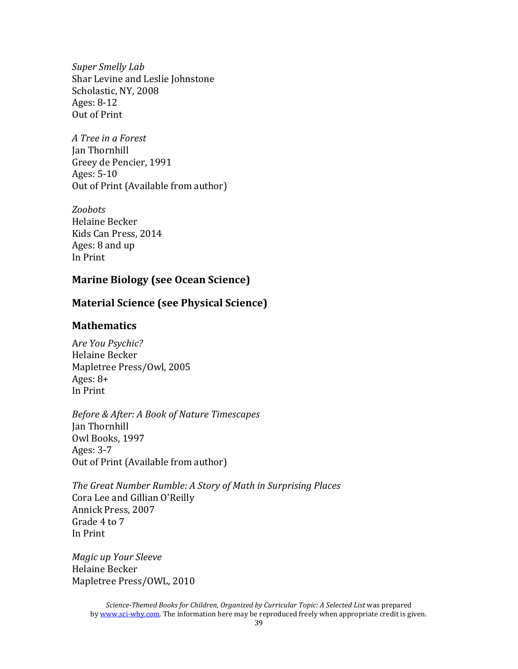*Super Smelly Lab* Shar Levine and Leslie Johnstone Scholastic, NY, 2008 Ages: 8-12 Out of Print

*A Tree in a Forest* Jan Thornhill Greey de Pencier, 1991 Ages: 5-10 Out of Print (Available from author)

*Zoobots* Helaine Becker Kids Can Press, 2014 Ages: 8 and up In Print

### **Marine Biology (see Ocean Science)**

# **Material Science (see Physical Science)**

#### **Mathematics**

A*re You Psychic?* Helaine Becker Mapletree Press/Owl, 2005 Ages:  $8+$ In Print

*Before & After: A Book of Nature Timescapes* Jan Thornhill Owl Books, 1997 Ages: 3-7 Out of Print (Available from author)

*The Great Number Rumble: A Story of Math in Surprising Places* Cora Lee and Gillian O'Reilly Annick Press, 2007 Grade 4 to 7 In Print

*Magic up Your Sleeve* Helaine Becker Mapletree Press/OWL, 2010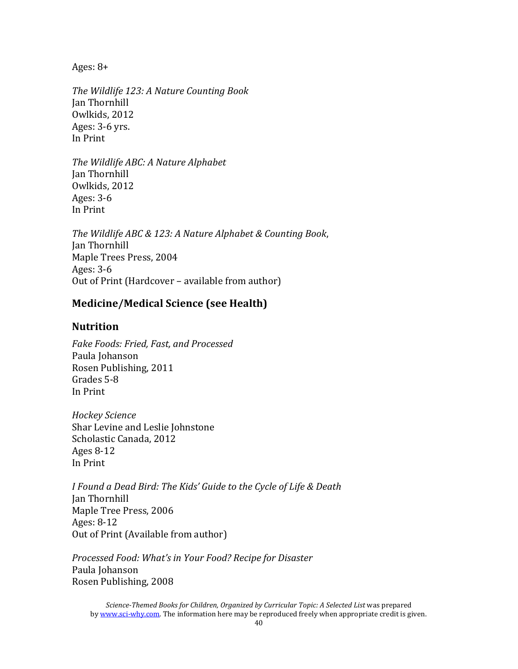Ages: 8+

*The Wildlife 123: A Nature Counting Book* Jan Thornhill Owlkids, 2012 Ages: 3-6 yrs. In Print

*The Wildlife ABC: A Nature Alphabet* Jan Thornhill Owlkids, 2012 Ages: 3-6 In Print

*The Wildlife ABC & 123: A Nature Alphabet & Counting Book*, Jan Thornhill Maple Trees Press, 2004 Ages: 3-6 Out of Print (Hardcover – available from author)

# **Medicine/Medical Science (see Health)**

# **Nutrition**

*Fake Foods: Fried, Fast, and Processed* Paula Johanson Rosen Publishing, 2011 Grades 5-8 In Print

*Hockey Science* Shar Levine and Leslie Johnstone Scholastic Canada, 2012 Ages 8-12 In Print

*I Found a Dead Bird: The Kids' Guide to the Cycle of Life & Death* Jan Thornhill Maple Tree Press, 2006 Ages: 8-12 Out of Print (Available from author)

*Processed Food: What's in Your Food? Recipe for Disaster* Paula Johanson Rosen Publishing, 2008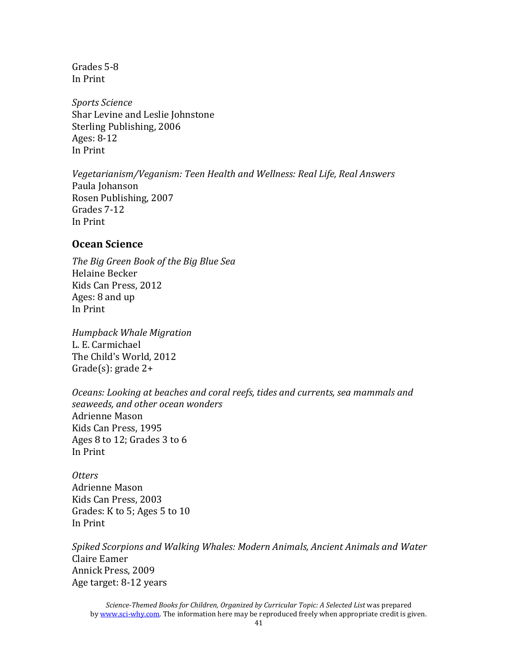Grades 5-8 In Print

*Sports Science* Shar Levine and Leslie Johnstone Sterling Publishing, 2006 Ages: 8-12 In Print

*Vegetarianism/Veganism: Teen Health and Wellness: Real Life, Real Answers* Paula Johanson Rosen Publishing, 2007 Grades 7-12 In Print

#### **Ocean Science**

*The Big Green Book of the Big Blue Sea* Helaine Becker Kids Can Press, 2012 Ages: 8 and up In Print

*Humpback Whale Migration* L. E. Carmichael The Child's World, 2012 Grade(s): grade 2+

*Oceans: Looking at beaches and coral reefs, tides and currents, sea mammals and seaweeds, and other ocean wonders* Adrienne Mason Kids Can Press, 1995 Ages 8 to 12; Grades 3 to 6 In Print

*Otters* Adrienne Mason Kids Can Press, 2003 Grades: K to 5; Ages 5 to 10 In Print

*Spiked Scorpions and Walking Whales: Modern Animals, Ancient Animals and Water* Claire Eamer Annick Press, 2009 Age target: 8-12 years

*Science-Themed Books for Children, Organized by Curricular Topic: A Selected List* was prepared b[y www.sci-why.com.](http://www.sci-why.com/) The information here may be reproduced freely when appropriate credit is given.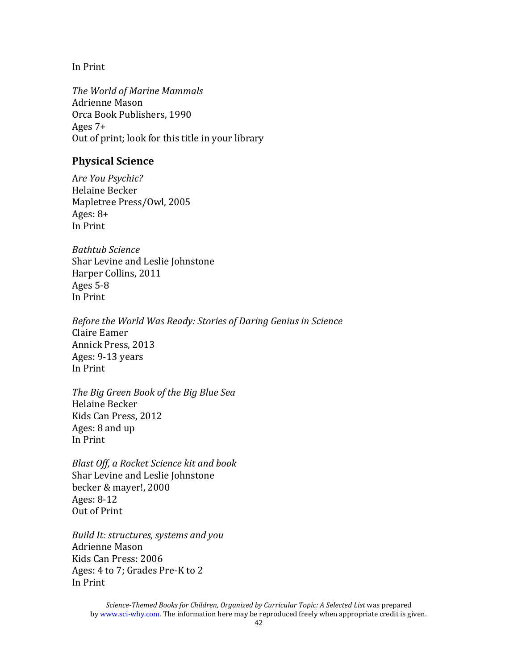In Print

*The World of Marine Mammals* Adrienne Mason Orca Book Publishers, 1990 Ages 7+ Out of print; look for this title in your library

### **Physical Science**

A*re You Psychic?* Helaine Becker Mapletree Press/Owl, 2005 Ages: 8+ In Print

*Bathtub Science* Shar Levine and Leslie Johnstone Harper Collins, 2011 Ages 5-8 In Print

*Before the World Was Ready: Stories of Daring Genius in Science* Claire Eamer Annick Press, 2013 Ages: 9-13 years In Print

*The Big Green Book of the Big Blue Sea* Helaine Becker Kids Can Press, 2012 Ages: 8 and up In Print

*Blast Off, a Rocket Science kit and book* Shar Levine and Leslie Johnstone becker & mayer!, 2000 Ages: 8-12 Out of Print

*Build It: structures, systems and you* Adrienne Mason Kids Can Press: 2006 Ages: 4 to 7; Grades Pre-K to 2 In Print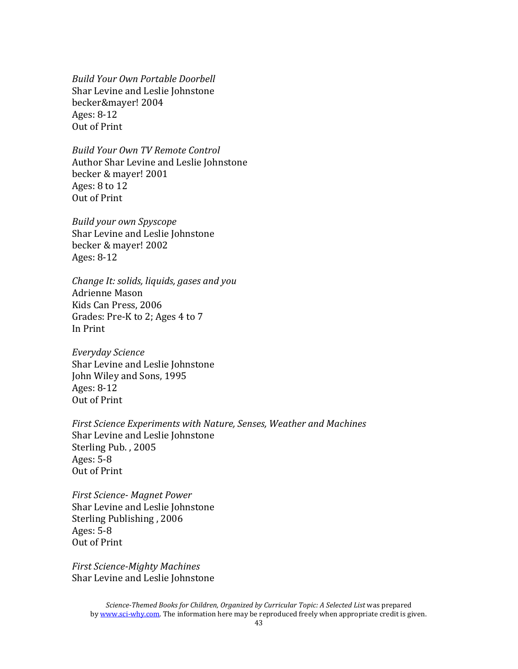*Build Your Own Portable Doorbell* Shar Levine and Leslie Johnstone becker&mayer! 2004 Ages: 8-12 Out of Print

*Build Your Own TV Remote Control* Author Shar Levine and Leslie Johnstone becker & mayer! 2001 Ages: 8 to 12 Out of Print

*Build your own Spyscope* Shar Levine and Leslie Johnstone becker & mayer! 2002 Ages: 8-12

*Change It: solids, liquids, gases and you* Adrienne Mason Kids Can Press, 2006 Grades: Pre-K to 2; Ages 4 to 7 In Print

*Everyday Science* Shar Levine and Leslie Johnstone John Wiley and Sons, 1995 Ages: 8-12 Out of Print

*First Science Experiments with Nature, Senses, Weather and Machines* Shar Levine and Leslie Johnstone Sterling Pub. , 2005 Ages: 5-8 Out of Print

*First Science- Magnet Power* Shar Levine and Leslie Johnstone Sterling Publishing , 2006 Ages: 5-8 Out of Print

*First Science-Mighty Machines* Shar Levine and Leslie Johnstone

*Science-Themed Books for Children, Organized by Curricular Topic: A Selected List* was prepared b[y www.sci-why.com.](http://www.sci-why.com/) The information here may be reproduced freely when appropriate credit is given.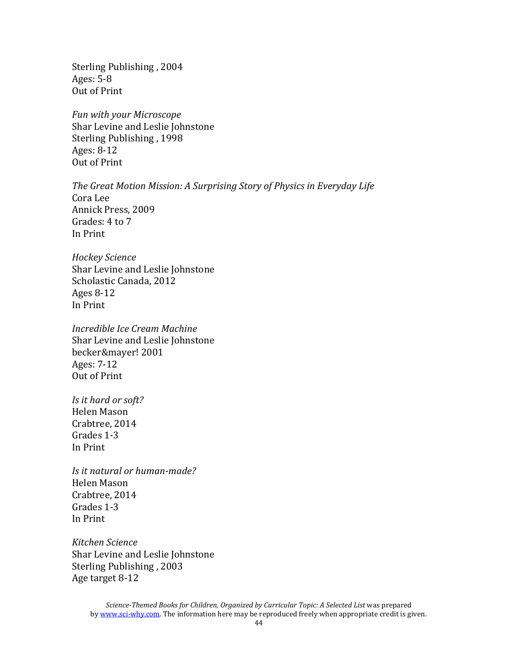Sterling Publishing , 2004 Ages: 5-8 Out of Print

*Fun with your Microscope* Shar Levine and Leslie Johnstone Sterling Publishing , 1998 Ages: 8-12 Out of Print

*The Great Motion Mission: A Surprising Story of Physics in Everyday Life* Cora Lee Annick Press, 2009 Grades: 4 to 7 In Print

*Hockey Science* Shar Levine and Leslie Johnstone Scholastic Canada, 2012 Ages 8-12 In Print

*Incredible Ice Cream Machine* Shar Levine and Leslie Johnstone becker&mayer! 2001 Ages: 7-12 Out of Print

*Is it hard or soft?* Helen Mason Crabtree, 2014 Grades 1-3 In Print

*Is it natural or human-made?* Helen Mason Crabtree, 2014 Grades 1-3 In Print

*Kitchen Science* Shar Levine and Leslie Johnstone Sterling Publishing , 2003 Age target 8-12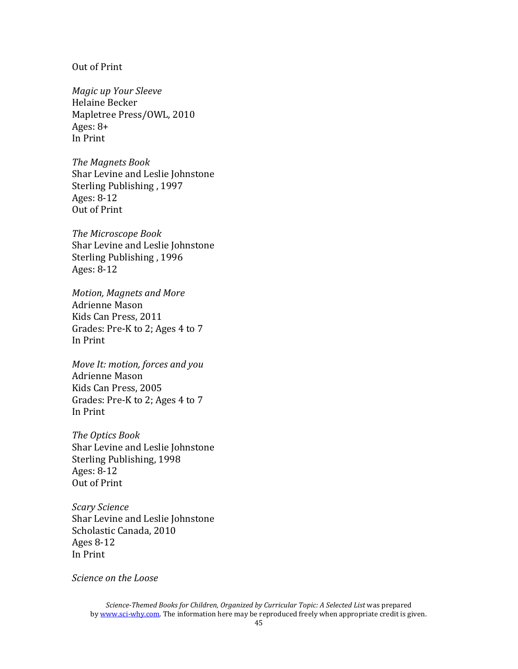#### Out of Print

*Magic up Your Sleeve* Helaine Becker Mapletree Press/OWL, 2010 Ages: 8+ In Print

*The Magnets Book* Shar Levine and Leslie Johnstone Sterling Publishing , 1997 Ages: 8-12 Out of Print

*The Microscope Book*  Shar Levine and Leslie Johnstone Sterling Publishing , 1996 Ages: 8-12

*Motion, Magnets and More* Adrienne Mason Kids Can Press, 2011 Grades: Pre-K to 2; Ages 4 to 7 In Print

*Move It: motion, forces and you* Adrienne Mason Kids Can Press, 2005 Grades: Pre-K to 2; Ages 4 to 7 In Print

*The Optics Book* Shar Levine and Leslie Johnstone Sterling Publishing, 1998 Ages: 8-12 Out of Print

*Scary Science* Shar Levine and Leslie Johnstone Scholastic Canada, 2010 Ages 8-12 In Print

*Science on the Loose*

*Science-Themed Books for Children, Organized by Curricular Topic: A Selected List* was prepared b[y www.sci-why.com.](http://www.sci-why.com/) The information here may be reproduced freely when appropriate credit is given.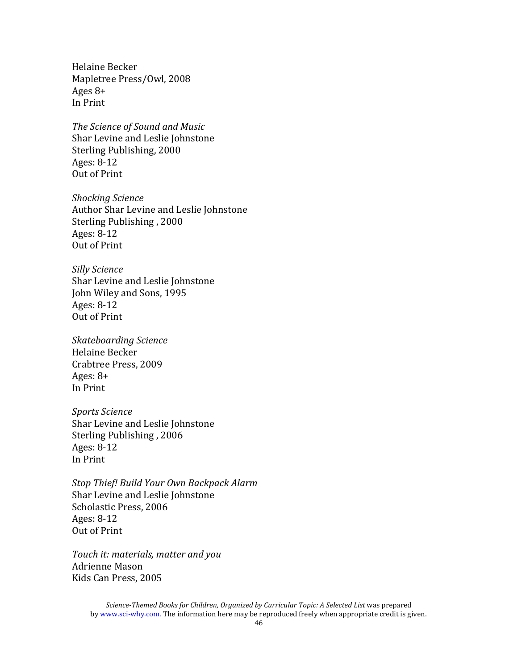Helaine Becker Mapletree Press/Owl, 2008 Ages 8+ In Print

*The Science of Sound and Music* Shar Levine and Leslie Johnstone Sterling Publishing, 2000 Ages: 8-12 Out of Print

*Shocking Science* Author Shar Levine and Leslie Johnstone Sterling Publishing , 2000 Ages: 8-12 Out of Print

*Silly Science* Shar Levine and Leslie Johnstone John Wiley and Sons, 1995 Ages: 8-12 Out of Print

*Skateboarding Science* Helaine Becker Crabtree Press, 2009 Ages: 8+ In Print

*Sports Science* Shar Levine and Leslie Johnstone Sterling Publishing , 2006 Ages: 8-12 In Print

*Stop Thief! Build Your Own Backpack Alarm* Shar Levine and Leslie Johnstone Scholastic Press, 2006 Ages: 8-12 Out of Print

*Touch it: materials, matter and you* Adrienne Mason Kids Can Press, 2005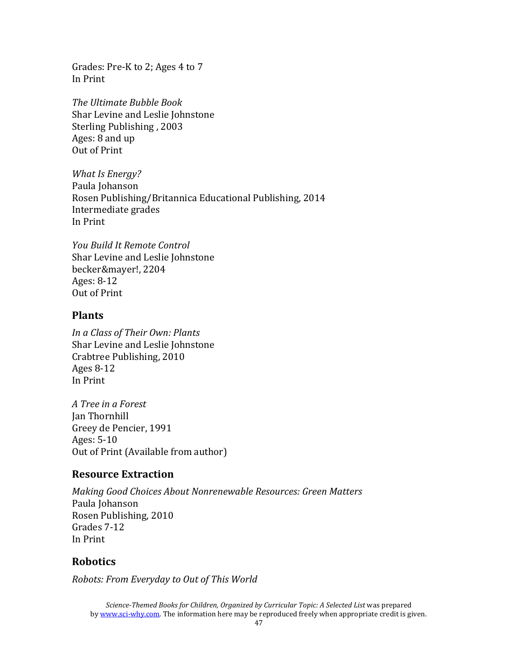Grades: Pre-K to 2; Ages 4 to 7 In Print

*The Ultimate Bubble Book* Shar Levine and Leslie Johnstone Sterling Publishing , 2003 Ages: 8 and up Out of Print

*What Is Energy?* Paula Johanson Rosen Publishing/Britannica Educational Publishing, 2014 Intermediate grades In Print

*You Build It Remote Control* Shar Levine and Leslie Johnstone becker&mayer!, 2204 Ages: 8-12 Out of Print

#### **Plants**

*In a Class of Their Own: Plants* Shar Levine and Leslie Johnstone Crabtree Publishing, 2010 Ages 8-12 In Print

*A Tree in a Forest* Jan Thornhill Greey de Pencier, 1991 Ages: 5-10 Out of Print (Available from author)

#### **Resource Extraction**

*Making Good Choices About Nonrenewable Resources: Green Matters* Paula Johanson Rosen Publishing, 2010 Grades 7-12 In Print

#### **Robotics**

*Robots: From Everyday to Out of This World*

*Science-Themed Books for Children, Organized by Curricular Topic: A Selected List* was prepared b[y www.sci-why.com.](http://www.sci-why.com/) The information here may be reproduced freely when appropriate credit is given.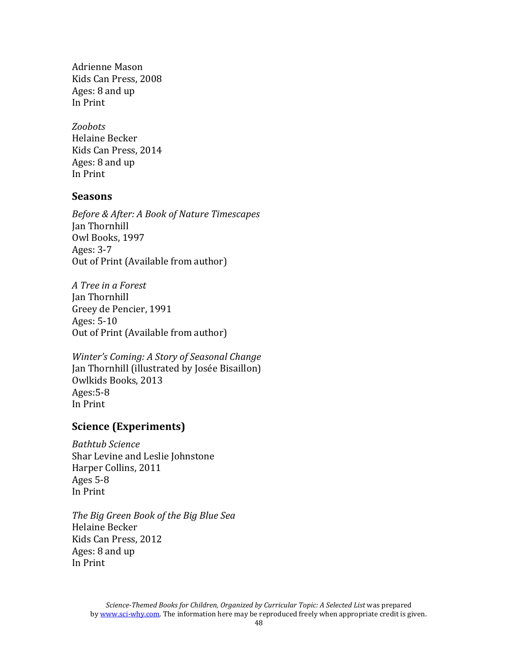Adrienne Mason Kids Can Press, 2008 Ages: 8 and up In Print

*Zoobots* Helaine Becker Kids Can Press, 2014 Ages: 8 and up In Print

#### **Seasons**

*Before & After: A Book of Nature Timescapes* Jan Thornhill Owl Books, 1997 Ages: 3-7 Out of Print (Available from author)

*A Tree in a Forest* Jan Thornhill Greey de Pencier, 1991 Ages: 5-10 Out of Print (Available from author)

*Winter's Coming: A Story of Seasonal Change* Jan Thornhill (illustrated by Josée Bisaillon) Owlkids Books, 2013 Ages:5-8 In Print

# **Science (Experiments)**

*Bathtub Science* Shar Levine and Leslie Johnstone Harper Collins, 2011 Ages 5-8 In Print

*The Big Green Book of the Big Blue Sea* Helaine Becker Kids Can Press, 2012 Ages: 8 and up In Print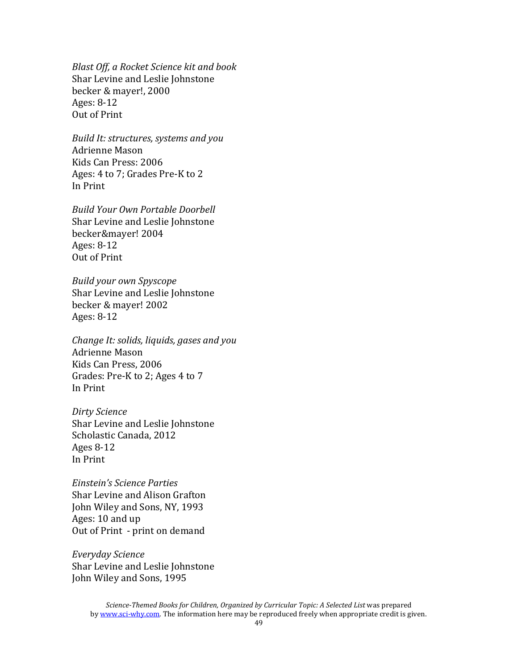*Blast Off, a Rocket Science kit and book* Shar Levine and Leslie Johnstone becker & mayer!, 2000 Ages: 8-12 Out of Print

*Build It: structures, systems and you* Adrienne Mason Kids Can Press: 2006 Ages: 4 to 7; Grades Pre-K to 2 In Print

*Build Your Own Portable Doorbell* Shar Levine and Leslie Johnstone becker&mayer! 2004 Ages: 8-12 Out of Print

*Build your own Spyscope* Shar Levine and Leslie Johnstone becker & mayer! 2002 Ages: 8-12

*Change It: solids, liquids, gases and you* Adrienne Mason Kids Can Press, 2006 Grades: Pre-K to 2; Ages 4 to 7 In Print

*Dirty Science* Shar Levine and Leslie Johnstone Scholastic Canada, 2012 Ages 8-12 In Print

*Einstein's Science Parties* Shar Levine and Alison Grafton John Wiley and Sons, NY, 1993 Ages: 10 and up Out of Print - print on demand

*Everyday Science* Shar Levine and Leslie Johnstone John Wiley and Sons, 1995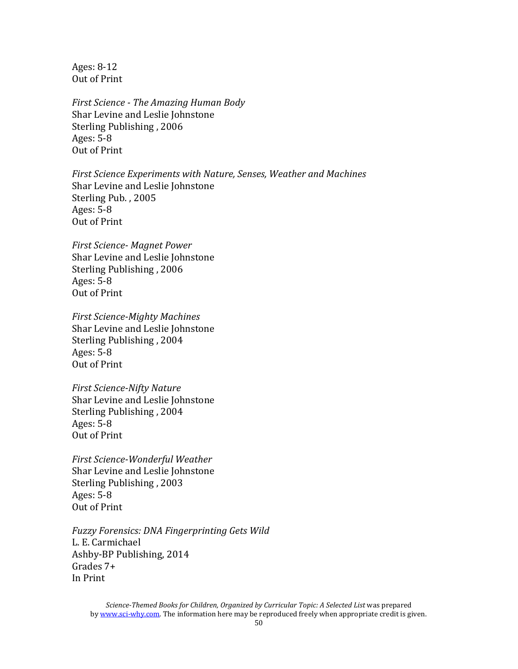Ages: 8-12 Out of Print

*First Science - The Amazing Human Body* Shar Levine and Leslie Johnstone Sterling Publishing , 2006 Ages: 5-8 Out of Print

*First Science Experiments with Nature, Senses, Weather and Machines* Shar Levine and Leslie Johnstone Sterling Pub. , 2005 Ages: 5-8 Out of Print

*First Science- Magnet Power* Shar Levine and Leslie Johnstone Sterling Publishing , 2006 Ages: 5-8 Out of Print

*First Science-Mighty Machines* Shar Levine and Leslie Johnstone Sterling Publishing , 2004 Ages: 5-8 Out of Print

*First Science-Nifty Nature* Shar Levine and Leslie Johnstone Sterling Publishing , 2004 Ages: 5-8 Out of Print

*First Science-Wonderful Weather* Shar Levine and Leslie Johnstone Sterling Publishing , 2003 Ages: 5-8 Out of Print

*Fuzzy Forensics: DNA Fingerprinting Gets Wild* L. E. Carmichael Ashby-BP Publishing, 2014 Grades 7+ In Print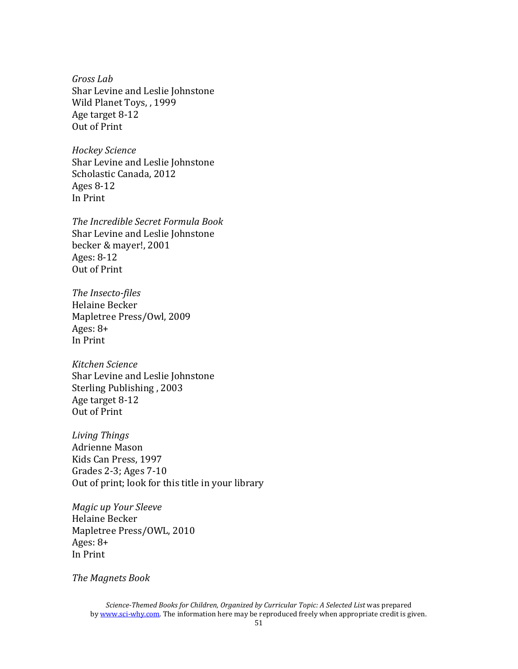*Gross Lab* Shar Levine and Leslie Johnstone Wild Planet Toys, , 1999 Age target 8-12 Out of Print

*Hockey Science* Shar Levine and Leslie Johnstone Scholastic Canada, 2012 Ages 8-12 In Print

*The Incredible Secret Formula Book* Shar Levine and Leslie Johnstone becker & mayer!, 2001 Ages: 8-12 Out of Print

*The Insecto-files*  Helaine Becker Mapletree Press/Owl, 2009 Ages: 8+ In Print

*Kitchen Science* Shar Levine and Leslie Johnstone Sterling Publishing , 2003 Age target 8-12 Out of Print

*Living Things* Adrienne Mason Kids Can Press, 1997 Grades 2-3; Ages 7-10 Out of print; look for this title in your library

*Magic up Your Sleeve* Helaine Becker Mapletree Press/OWL, 2010 Ages:  $8+$ In Print

*The Magnets Book*

*Science-Themed Books for Children, Organized by Curricular Topic: A Selected List* was prepared b[y www.sci-why.com.](http://www.sci-why.com/) The information here may be reproduced freely when appropriate credit is given.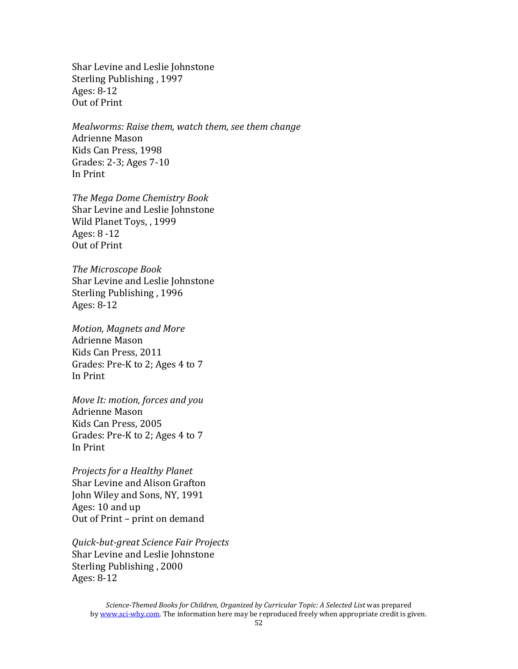Shar Levine and Leslie Johnstone Sterling Publishing , 1997 Ages: 8-12 Out of Print

*Mealworms: Raise them, watch them, see them change* Adrienne Mason Kids Can Press, 1998 Grades: 2-3; Ages 7-10 In Print

*The Mega Dome Chemistry Book* Shar Levine and Leslie Johnstone Wild Planet Toys, , 1999 Ages: 8 -12 Out of Print

*The Microscope Book*  Shar Levine and Leslie Johnstone Sterling Publishing , 1996 Ages: 8-12

*Motion, Magnets and More* Adrienne Mason Kids Can Press, 2011 Grades: Pre-K to 2; Ages 4 to 7 In Print

*Move It: motion, forces and you* Adrienne Mason Kids Can Press, 2005 Grades: Pre-K to 2; Ages 4 to 7 In Print

*Projects for a Healthy Planet* Shar Levine and Alison Grafton John Wiley and Sons, NY, 1991 Ages: 10 and up Out of Print – print on demand

*Quick-but-great Science Fair Projects* Shar Levine and Leslie Johnstone Sterling Publishing , 2000 Ages: 8-12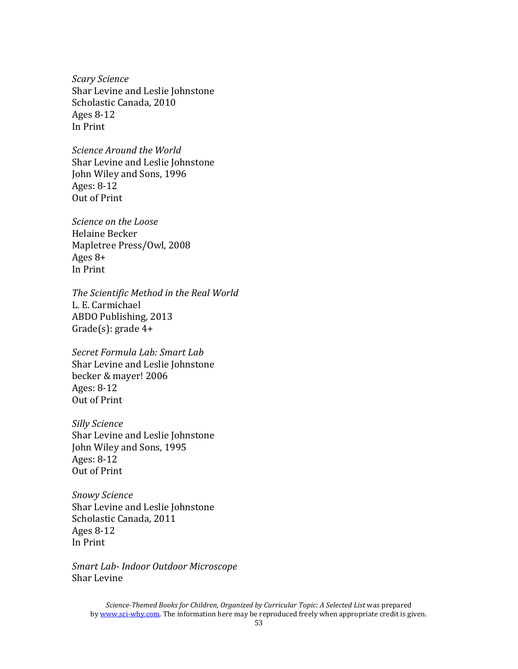*Scary Science* Shar Levine and Leslie Johnstone Scholastic Canada, 2010 Ages 8-12 In Print

*Science Around the World* Shar Levine and Leslie Johnstone John Wiley and Sons, 1996 Ages: 8-12 Out of Print

*Science on the Loose* Helaine Becker Mapletree Press/Owl, 2008 Ages 8+ In Print

*The Scientific Method in the Real World* L. E. Carmichael ABDO Publishing, 2013 Grade(s): grade 4+

*Secret Formula Lab: Smart Lab* Shar Levine and Leslie Johnstone becker & mayer! 2006 Ages: 8-12 Out of Print

*Silly Science* Shar Levine and Leslie Johnstone John Wiley and Sons, 1995 Ages: 8-12 Out of Print

*Snowy Science* Shar Levine and Leslie Johnstone Scholastic Canada, 2011 Ages 8-12 In Print

*Smart Lab- Indoor Outdoor Microscope* Shar Levine

*Science-Themed Books for Children, Organized by Curricular Topic: A Selected List* was prepared b[y www.sci-why.com.](http://www.sci-why.com/) The information here may be reproduced freely when appropriate credit is given.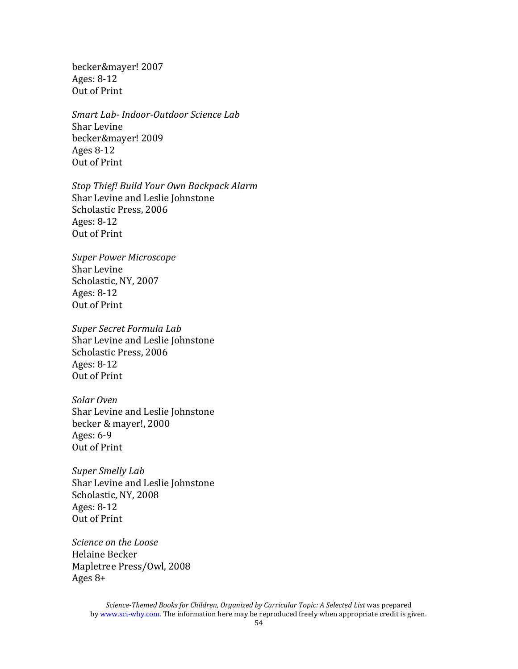becker&mayer! 2007 Ages: 8-12 Out of Print

*Smart Lab- Indoor-Outdoor Science Lab* Shar Levine becker&mayer! 2009 Ages 8-12 Out of Print

*Stop Thief! Build Your Own Backpack Alarm* Shar Levine and Leslie Johnstone Scholastic Press, 2006 Ages: 8-12 Out of Print

*Super Power Microscope* Shar Levine Scholastic, NY, 2007 Ages: 8-12 Out of Print

*Super Secret Formula Lab* Shar Levine and Leslie Johnstone Scholastic Press, 2006 Ages: 8-12 Out of Print

*Solar Oven* Shar Levine and Leslie Johnstone becker & mayer!, 2000 Ages: 6-9 Out of Print

*Super Smelly Lab* Shar Levine and Leslie Johnstone Scholastic, NY, 2008 Ages: 8-12 Out of Print

*Science on the Loose* Helaine Becker Mapletree Press/Owl, 2008 Ages 8+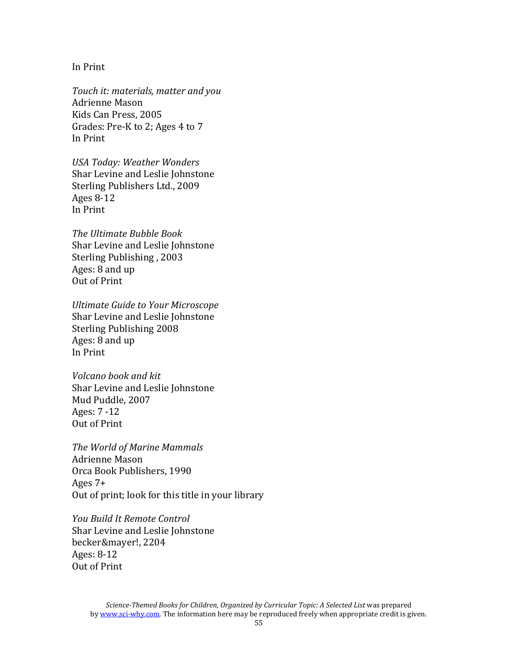#### In Print

*Touch it: materials, matter and you* Adrienne Mason Kids Can Press, 2005 Grades: Pre-K to 2; Ages 4 to 7 In Print

*USA Today: Weather Wonders* Shar Levine and Leslie Johnstone Sterling Publishers Ltd., 2009 Ages 8-12 In Print

*The Ultimate Bubble Book* Shar Levine and Leslie Johnstone Sterling Publishing , 2003 Ages: 8 and up Out of Print

*Ultimate Guide to Your Microscope* Shar Levine and Leslie Johnstone Sterling Publishing 2008 Ages: 8 and up In Print

*Volcano book and kit* Shar Levine and Leslie Johnstone Mud Puddle, 2007 Ages: 7 -12 Out of Print

*The World of Marine Mammals* Adrienne Mason Orca Book Publishers, 1990 Ages 7+ Out of print; look for this title in your library

*You Build It Remote Control* Shar Levine and Leslie Johnstone becker&mayer!, 2204 Ages: 8-12 Out of Print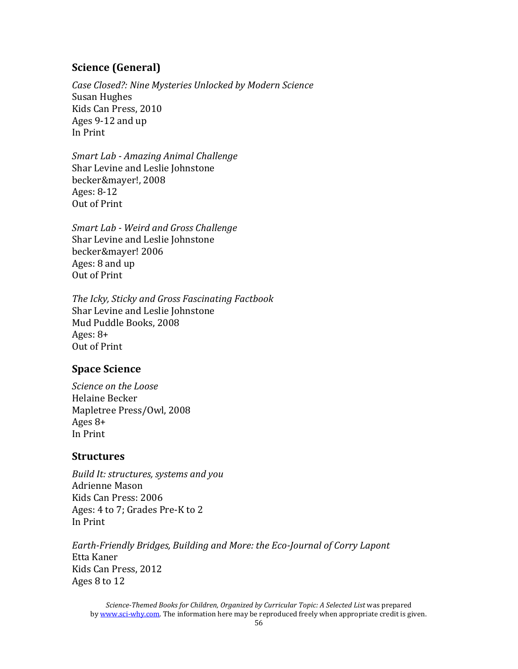# **Science (General)**

*Case Closed?: Nine Mysteries Unlocked by Modern Science* Susan Hughes Kids Can Press, 2010 Ages 9-12 and up In Print

*Smart Lab - Amazing Animal Challenge* Shar Levine and Leslie Johnstone becker&mayer!, 2008 Ages: 8-12 Out of Print

*Smart Lab - Weird and Gross Challenge* Shar Levine and Leslie Johnstone becker&mayer! 2006 Ages: 8 and up Out of Print

*The Icky, Sticky and Gross Fascinating Factbook* Shar Levine and Leslie Johnstone Mud Puddle Books, 2008 Ages:  $8+$ Out of Print

# **Space Science**

*Science on the Loose* Helaine Becker Mapletree Press/Owl, 2008 Ages 8+ In Print

# **Structures**

*Build It: structures, systems and you* Adrienne Mason Kids Can Press: 2006 Ages: 4 to 7; Grades Pre-K to 2 In Print

*Earth-Friendly Bridges, Building and More: the Eco-Journal of Corry Lapont* Etta Kaner Kids Can Press, 2012 Ages 8 to 12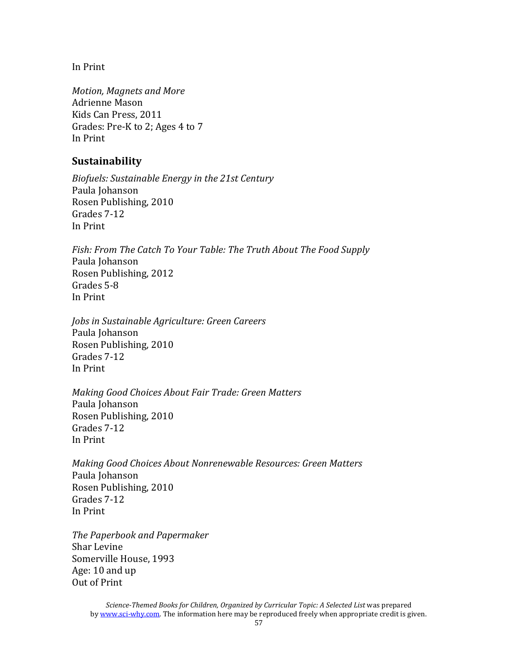In Print

*Motion, Magnets and More* Adrienne Mason Kids Can Press, 2011 Grades: Pre-K to 2; Ages 4 to 7 In Print

#### **Sustainability**

*Biofuels: Sustainable Energy in the 21st Century* Paula Johanson Rosen Publishing, 2010 Grades 7-12 In Print

*Fish: From The Catch To Your Table: The Truth About The Food Supply* Paula Johanson Rosen Publishing, 2012 Grades 5-8 In Print

*Jobs in Sustainable Agriculture: Green Careers* Paula Johanson Rosen Publishing, 2010 Grades 7-12 In Print

*Making Good Choices About Fair Trade: Green Matters* Paula Johanson Rosen Publishing, 2010 Grades 7-12 In Print

*Making Good Choices About Nonrenewable Resources: Green Matters* Paula Johanson Rosen Publishing, 2010 Grades 7-12 In Print

*The Paperbook and Papermaker* Shar Levine Somerville House, 1993 Age: 10 and up Out of Print

*Science-Themed Books for Children, Organized by Curricular Topic: A Selected List* was prepared b[y www.sci-why.com.](http://www.sci-why.com/) The information here may be reproduced freely when appropriate credit is given.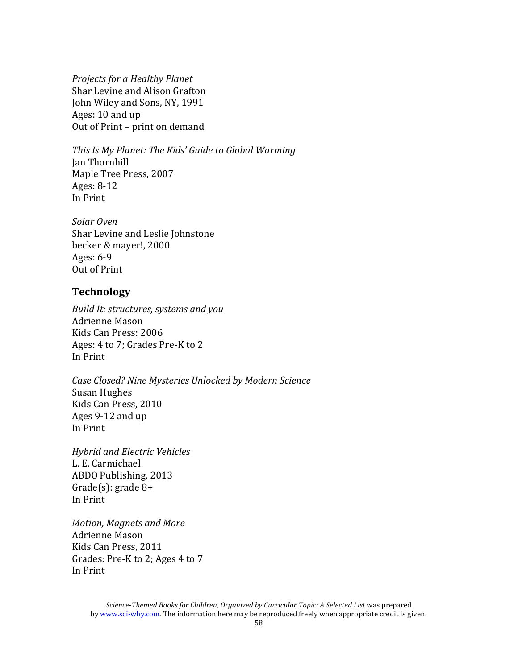*Projects for a Healthy Planet* Shar Levine and Alison Grafton John Wiley and Sons, NY, 1991 Ages: 10 and up Out of Print – print on demand

*This Is My Planet: The Kids' Guide to Global Warming* Jan Thornhill Maple Tree Press, 2007 Ages: 8-12 In Print

*Solar Oven* Shar Levine and Leslie Johnstone becker & mayer!, 2000 Ages: 6-9 Out of Print

#### **Technology**

*Build It: structures, systems and you* Adrienne Mason Kids Can Press: 2006 Ages: 4 to 7; Grades Pre-K to 2 In Print

*Case Closed? Nine Mysteries Unlocked by Modern Science* Susan Hughes Kids Can Press, 2010 Ages 9-12 and up In Print

*Hybrid and Electric Vehicles* L. E. Carmichael ABDO Publishing, 2013 Grade(s): grade 8+ In Print

*Motion, Magnets and More* Adrienne Mason Kids Can Press, 2011 Grades: Pre-K to 2; Ages 4 to 7 In Print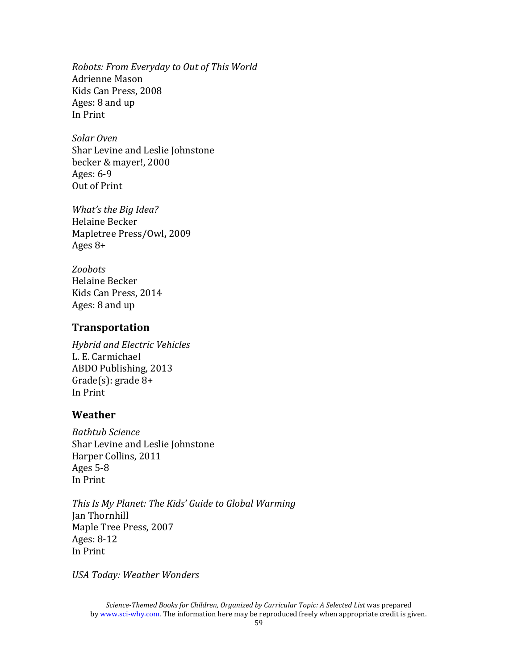*Robots: From Everyday to Out of This World* Adrienne Mason Kids Can Press, 2008 Ages: 8 and up In Print

*Solar Oven* Shar Levine and Leslie Johnstone becker & mayer!, 2000 Ages: 6-9 Out of Print

*What's the Big Idea?* Helaine Becker Mapletree Press/Owl**,** 2009 Ages 8+

*Zoobots* Helaine Becker Kids Can Press, 2014 Ages: 8 and up

# **Transportation**

*Hybrid and Electric Vehicles* L. E. Carmichael ABDO Publishing, 2013 Grade(s): grade 8+ In Print

# **Weather**

*Bathtub Science* Shar Levine and Leslie Johnstone Harper Collins, 2011 Ages 5-8 In Print

*This Is My Planet: The Kids' Guide to Global Warming* Jan Thornhill Maple Tree Press, 2007 Ages: 8-12 In Print

*USA Today: Weather Wonders*